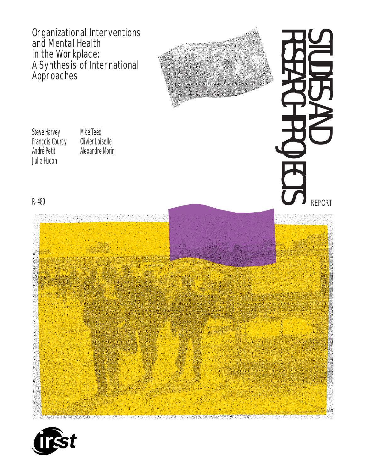Organizational Interventions and Mental Health in the Workplace: A Synthesis of International Approaches



Steve Harvey François Courcy André Petit Julie Hudon

Mike Teed Olivier Loiselle Alexandre Morin

# STUDIES AND RESEARCH PROJECTS **PROJECTS** REPORT

R-480



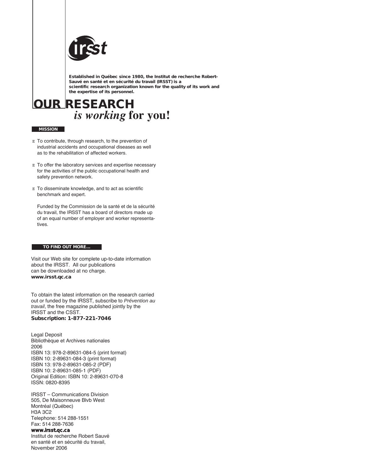

**Established in Québec since 1980, the Institut de recherche Robert-Sauvé en santé et en sécurité du travail (IRSST) is a scientific research organization known for the quality of its work and the expertise of its personnel.** 

**OUR RESEARCH** *is working* **for you!**

#### **MISSION**

- E To contribute, through research, to the prevention of industrial accidents and occupational diseases as well as to the rehabilitation of affected workers.
- E To offer the laboratory services and expertise necessary for the activities of the public occupational health and safety prevention network.
- $E$  To disseminate knowledge, and to act as scientific benchmark and expert.

Funded by the Commission de la santé et de la sécurité du travail, the IRSST has a board of directors made up of an equal number of employer and worker representatives.

#### **TO FIND OUT MORE…**

Visit our Web site for complete up-to-date information about the IRSST. All our publications can be downloaded at no charge. **www.irsst.qc.ca**

To obtain the latest information on the research carried out or funded by the IRSST, subscribe to *Prévention au travail*, the free magazine published jointly by the IRSST and the CSST. **Subscription: 1-877-221-7046**

Legal Deposit Bibliothèque et Archives nationales 2006 ISBN 13: 978-2-89631-084-5 (print format) ISBN 10: 2-89631-084-3 (print format) ISBN 13: 978-2-89631-085-2 (PDF) ISBN 10: 2-89631-085-1 (PDF) Original Edition: ISBN 10: 2-89631-070-8 ISSN: 0820-8395

IRSST – Communications Division 505, De Maisonneuve Blvb West Montréal (Québec) H3A 3C2 Telephone: 514 288-1551 Fax: 514 288-7636 **www.irsst.qc.ca** Institut de recherche Robert Sauvé en santé et en sécurité du travail,

November 2006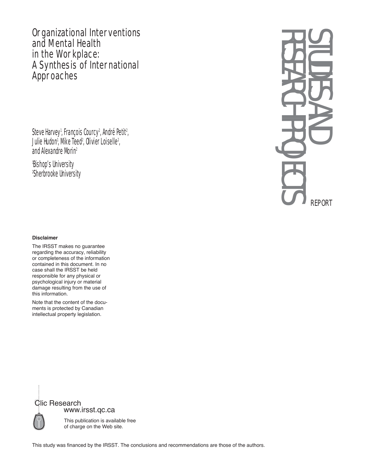Organizational Interventions and Mental Health in the Workplace: A Synthesis of International Approaches

Steve Harvey<sup>1</sup>, François Courcy<sup>2</sup>, André Petit<sup>2</sup> , Julie Hudon<sup>i</sup>, Mike Teed<sup>2</sup>, Olivier Loiselle<sup>2</sup>, and Alexandre Morin2

1 Bishop's University 2 Sherbrooke University

# RESEARCH PROJECTS STUDIES AND REPORT

#### **Disclaimer**

The IRSST makes no guarantee regarding the accuracy, reliability or completeness of the information contained in this document. In no case shall the IRSST be held responsible for any physical or psychological injury or material damage resulting from the use of this information.

Note that the content of the documents is protected by Canadian intellectual property legislation.



This study was financed by the IRSST. The conclusions and recommendations are those of the authors.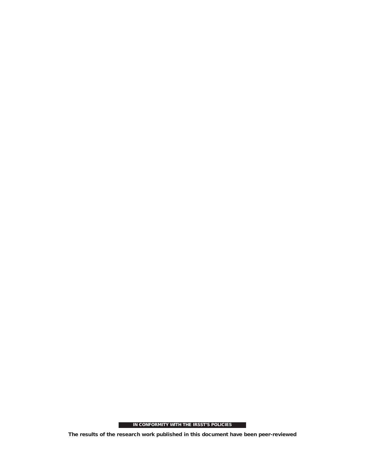**IN CONFORMITY WITH THE IRSST'S POLICIES**

ı

**The results of the research work published in this document have been peer-reviewed**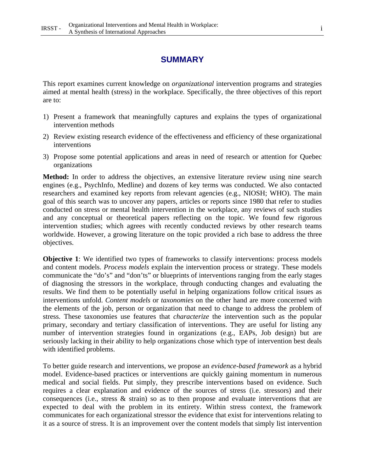# **SUMMARY**

This report examines current knowledge on *organizational* intervention programs and strategies aimed at mental health (stress) in the workplace. Specifically, the three objectives of this report are to:

- 1) Present a framework that meaningfully captures and explains the types of organizational intervention methods
- 2) Review existing research evidence of the effectiveness and efficiency of these organizational interventions
- 3) Propose some potential applications and areas in need of research or attention for Quebec organizations

**Method:** In order to address the objectives, an extensive literature review using nine search engines (e.g., PsychInfo, Medline) and dozens of key terms was conducted. We also contacted researchers and examined key reports from relevant agencies (e.g., NIOSH; WHO). The main goal of this search was to uncover any papers, articles or reports since 1980 that refer to studies conducted on stress or mental health intervention in the workplace, any reviews of such studies and any conceptual or theoretical papers reflecting on the topic. We found few rigorous intervention studies; which agrees with recently conducted reviews by other research teams worldwide. However, a growing literature on the topic provided a rich base to address the three objectives.

**Objective 1:** We identified two types of frameworks to classify interventions: process models and content models. *Process models* explain the intervention process or strategy. These models communicate the "do's" and "don'ts" or blueprints of interventions ranging from the early stages of diagnosing the stressors in the workplace, through conducting changes and evaluating the results. We find them to be potentially useful in helping organizations follow critical issues as interventions unfold. *Content models* or *taxonomies* on the other hand are more concerned with the elements of the job, person or organization that need to change to address the problem of stress. These taxonomies use features that *characterize* the intervention such as the popular primary, secondary and tertiary classification of interventions. They are useful for listing any number of intervention strategies found in organizations (e.g., EAPs, Job design) but are seriously lacking in their ability to help organizations chose which type of intervention best deals with identified problems.

To better guide research and interventions, we propose an *evidence-based framework* as a hybrid model. Evidence-based practices or interventions are quickly gaining momentum in numerous medical and social fields. Put simply, they prescribe interventions based on evidence. Such requires a clear explanation and evidence of the sources of stress (i.e. stressors) and their consequences (i.e., stress & strain) so as to then propose and evaluate interventions that are expected to deal with the problem in its entirety. Within stress context, the framework communicates for each organizational stressor the evidence that exist for interventions relating to it as a source of stress. It is an improvement over the content models that simply list intervention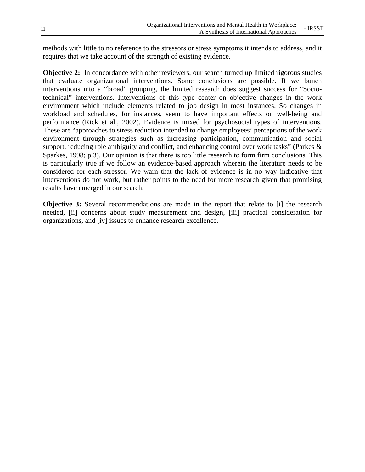methods with little to no reference to the stressors or stress symptoms it intends to address, and it requires that we take account of the strength of existing evidence.

**Objective 2:** In concordance with other reviewers, our search turned up limited rigorous studies that evaluate organizational interventions. Some conclusions are possible. If we bunch interventions into a "broad" grouping, the limited research does suggest success for "Sociotechnical" interventions. Interventions of this type center on objective changes in the work environment which include elements related to job design in most instances. So changes in workload and schedules, for instances, seem to have important effects on well-being and performance (Rick et al., 2002). Evidence is mixed for psychosocial types of interventions. These are "approaches to stress reduction intended to change employees' perceptions of the work environment through strategies such as increasing participation, communication and social support, reducing role ambiguity and conflict, and enhancing control over work tasks" (Parkes & Sparkes, 1998; p.3). Our opinion is that there is too little research to form firm conclusions. This is particularly true if we follow an evidence-based approach wherein the literature needs to be considered for each stressor. We warn that the lack of evidence is in no way indicative that interventions do not work, but rather points to the need for more research given that promising results have emerged in our search.

**Objective 3:** Several recommendations are made in the report that relate to [i] the research needed, [ii] concerns about study measurement and design, [iii] practical consideration for organizations, and [iv] issues to enhance research excellence.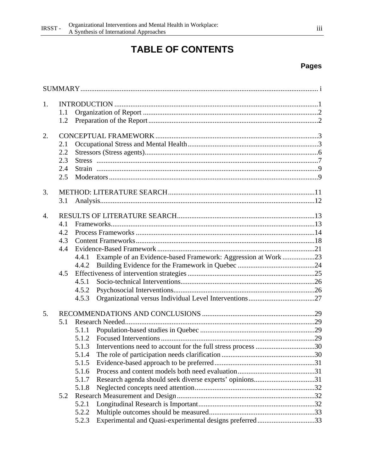# **TABLE OF CONTENTS**

# **Pages**

| 1.               |     |                                                                       |  |  |  |
|------------------|-----|-----------------------------------------------------------------------|--|--|--|
|                  | 1.1 |                                                                       |  |  |  |
|                  | 1.2 |                                                                       |  |  |  |
| 2.               |     |                                                                       |  |  |  |
|                  | 2.1 |                                                                       |  |  |  |
|                  | 2.2 |                                                                       |  |  |  |
|                  | 2.3 |                                                                       |  |  |  |
|                  | 2.4 |                                                                       |  |  |  |
|                  | 2.5 |                                                                       |  |  |  |
| 3.               |     |                                                                       |  |  |  |
|                  | 3.1 |                                                                       |  |  |  |
| $\overline{4}$ . |     |                                                                       |  |  |  |
|                  | 4.1 |                                                                       |  |  |  |
|                  | 4.2 |                                                                       |  |  |  |
|                  | 4.3 |                                                                       |  |  |  |
|                  | 4.4 |                                                                       |  |  |  |
|                  |     | Example of an Evidence-based Framework: Aggression at Work23<br>4.4.1 |  |  |  |
|                  |     | 4.4.2                                                                 |  |  |  |
|                  | 4.5 |                                                                       |  |  |  |
|                  |     | 4.5.1                                                                 |  |  |  |
|                  |     | 4.5.2                                                                 |  |  |  |
|                  |     | 4.5.3                                                                 |  |  |  |
| 5.               |     |                                                                       |  |  |  |
|                  | 5.1 |                                                                       |  |  |  |
|                  |     | 5.1.1                                                                 |  |  |  |
|                  |     | 5.1.2                                                                 |  |  |  |
|                  |     | Interventions need to account for the full stress process 30<br>5.1.3 |  |  |  |
|                  |     | 5.1.4                                                                 |  |  |  |
|                  |     | 5.1.5                                                                 |  |  |  |
|                  |     | 5.1.6                                                                 |  |  |  |
|                  |     | 5.1.7                                                                 |  |  |  |
|                  |     | 5.1.8                                                                 |  |  |  |
|                  | 5.2 |                                                                       |  |  |  |
|                  |     | 5.2.1                                                                 |  |  |  |
|                  |     | 5.2.2                                                                 |  |  |  |
|                  |     | Experimental and Quasi-experimental designs preferred33<br>5.2.3      |  |  |  |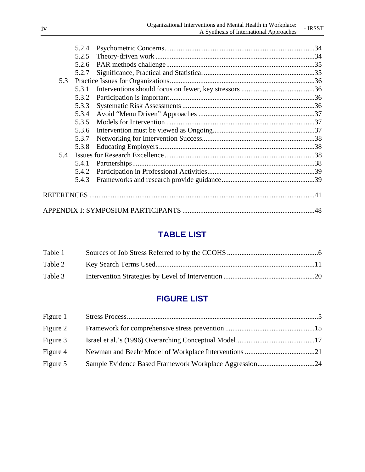|     | 5.2.4 |  |
|-----|-------|--|
|     | 5.2.5 |  |
|     | 5.2.6 |  |
|     | 5.2.7 |  |
| 5.3 |       |  |
|     | 5.3.1 |  |
|     | 5.3.2 |  |
|     | 5.3.3 |  |
|     | 5.3.4 |  |
|     | 5.3.5 |  |
|     | 5.3.6 |  |
|     | 5.3.7 |  |
|     | 5.3.8 |  |
| 5.4 |       |  |
|     | 5.4.1 |  |
|     | 5.4.2 |  |
|     | 5.4.3 |  |
|     |       |  |
|     |       |  |
|     |       |  |

# **TABLE LIST**

| Table 1 |  |
|---------|--|
| Table 2 |  |
| Table 3 |  |

# **FIGURE LIST**

| Figure 1 |  |
|----------|--|
| Figure 2 |  |
| Figure 3 |  |
| Figure 4 |  |
| Figure 5 |  |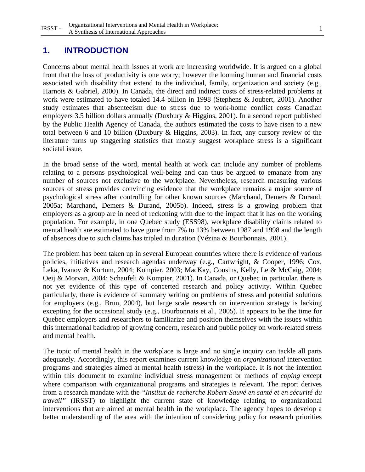#### **1. INTRODUCTION**

Concerns about mental health issues at work are increasing worldwide. It is argued on a global front that the loss of productivity is one worry; however the looming human and financial costs associated with disability that extend to the individual, family, organization and society (e.g., Harnois & Gabriel, 2000). In Canada, the direct and indirect costs of stress-related problems at work were estimated to have totaled 14.4 billion in 1998 (Stephens & Joubert, 2001). Another study estimates that absenteeism due to stress due to work-home conflict costs Canadian employers 3.5 billion dollars annually (Duxbury & Higgins, 2001). In a second report published by the Public Health Agency of Canada, the authors estimated the costs to have risen to a new total between 6 and 10 billion (Duxbury & Higgins, 2003). In fact, any cursory review of the literature turns up staggering statistics that mostly suggest workplace stress is a significant societal issue.

In the broad sense of the word, mental health at work can include any number of problems relating to a persons psychological well-being and can thus be argued to emanate from any number of sources not exclusive to the workplace. Nevertheless, research measuring various sources of stress provides convincing evidence that the workplace remains a major source of psychological stress after controlling for other known sources (Marchand, Demers & Durand, 2005a; Marchand, Demers & Durand, 2005b). Indeed, stress is a growing problem that employers as a group are in need of reckoning with due to the impact that it has on the working population. For example, in one Quebec study (ESS98), workplace disability claims related to mental health are estimated to have gone from 7% to 13% between 1987 and 1998 and the length of absences due to such claims has tripled in duration (Vézina & Bourbonnais, 2001).

The problem has been taken up in several European countries where there is evidence of various policies, initiatives and research agendas underway (e.g., Cartwright, & Cooper, 1996; Cox, Leka, Ivanov & Kortum, 2004; Kompier, 2003; MacKay, Cousins, Kelly, Le & McCaig, 2004; Oeij & Morvan, 2004; Schaufeli & Kompier, 2001). In Canada, or Quebec in particular, there is not yet evidence of this type of concerted research and policy activity. Within Quebec particularly, there is evidence of summary writing on problems of stress and potential solutions for employers (e.g., Brun, 2004), but large scale research on intervention strategy is lacking excepting for the occasional study (e.g., Bourbonnais et al., 2005). It appears to be the time for Quebec employers and researchers to familiarize and position themselves with the issues within this international backdrop of growing concern, research and public policy on work-related stress and mental health.

The topic of mental health in the workplace is large and no single inquiry can tackle all parts adequately. Accordingly, this report examines current knowledge on *organizational* intervention programs and strategies aimed at mental health (stress) in the workplace. It is not the intention within this document to examine individual stress management or methods of *coping* except where comparison with organizational programs and strategies is relevant. The report derives from a research mandate with the *"Institut de recherche Robert-Sauvé en santé et en sécurité du travail"* (IRSST) to highlight the current state of knowledge relating to organizational interventions that are aimed at mental health in the workplace. The agency hopes to develop a better understanding of the area with the intention of considering policy for research priorities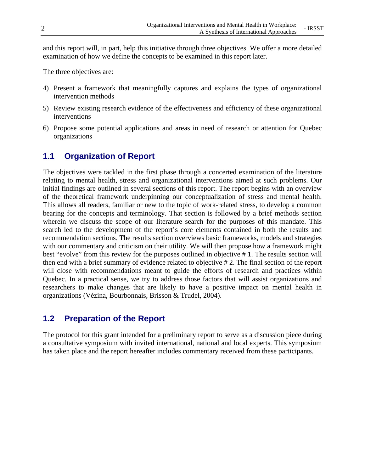and this report will, in part, help this initiative through three objectives. We offer a more detailed examination of how we define the concepts to be examined in this report later.

The three objectives are:

- 4) Present a framework that meaningfully captures and explains the types of organizational intervention methods
- 5) Review existing research evidence of the effectiveness and efficiency of these organizational interventions
- 6) Propose some potential applications and areas in need of research or attention for Quebec organizations

# **1.1 Organization of Report**

The objectives were tackled in the first phase through a concerted examination of the literature relating to mental health, stress and organizational interventions aimed at such problems. Our initial findings are outlined in several sections of this report. The report begins with an overview of the theoretical framework underpinning our conceptualization of stress and mental health. This allows all readers, familiar or new to the topic of work-related stress, to develop a common bearing for the concepts and terminology. That section is followed by a brief methods section wherein we discuss the scope of our literature search for the purposes of this mandate. This search led to the development of the report's core elements contained in both the results and recommendation sections. The results section overviews basic frameworks, models and strategies with our commentary and criticism on their utility. We will then propose how a framework might best "evolve" from this review for the purposes outlined in objective # 1. The results section will then end with a brief summary of evidence related to objective # 2. The final section of the report will close with recommendations meant to guide the efforts of research and practices within Quebec. In a practical sense, we try to address those factors that will assist organizations and researchers to make changes that are likely to have a positive impact on mental health in organizations (Vézina, Bourbonnais, Brisson & Trudel, 2004).

# **1.2 Preparation of the Report**

The protocol for this grant intended for a preliminary report to serve as a discussion piece during a consultative symposium with invited international, national and local experts. This symposium has taken place and the report hereafter includes commentary received from these participants.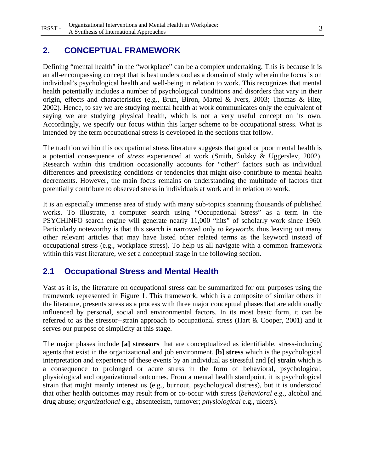# **2. CONCEPTUAL FRAMEWORK**

Defining "mental health" in the "workplace" can be a complex undertaking. This is because it is an all-encompassing concept that is best understood as a domain of study wherein the focus is on individual's psychological health and well-being in relation to work. This recognizes that mental health potentially includes a number of psychological conditions and disorders that vary in their origin, effects and characteristics (e.g., Brun, Biron, Martel & Ivers, 2003; Thomas & Hite, 2002). Hence, to say we are studying mental health at work communicates only the equivalent of saying we are studying physical health, which is not a very useful concept on its own. Accordingly, we specify our focus within this larger scheme to be occupational stress. What is intended by the term occupational stress is developed in the sections that follow.

The tradition within this occupational stress literature suggests that good or poor mental health is a potential consequence of *stress* experienced at work (Smith, Sulsky & Uggerslev, 2002). Research within this tradition occasionally accounts for "other" factors such as individual differences and preexisting conditions or tendencies that might *also* contribute to mental health decrements. However, the main focus remains on understanding the multitude of factors that potentially contribute to observed stress in individuals at work and in relation to work.

It is an especially immense area of study with many sub-topics spanning thousands of published works. To illustrate, a computer search using "Occupational Stress" as a term in the PSYCHINFO search engine will generate nearly 11,000 "hits" of scholarly work since 1960. Particularly noteworthy is that this search is narrowed only to *keywords*, thus leaving out many other relevant articles that may have listed other related terms as the keyword instead of occupational stress (e.g., workplace stress). To help us all navigate with a common framework within this vast literature, we set a conceptual stage in the following section.

# **2.1 Occupational Stress and Mental Health**

Vast as it is, the literature on occupational stress can be summarized for our purposes using the framework represented in Figure 1. This framework, which is a composite of similar others in the literature, presents stress as a process with three major conceptual phases that are additionally influenced by personal, social and environmental factors. In its most basic form, it can be referred to as the stressor--strain approach to occupational stress (Hart & Cooper, 2001) and it serves our purpose of simplicity at this stage.

The major phases include **[a] stressors** that are conceptualized as identifiable, stress-inducing agents that exist in the organizational and job environment, **[b] stress** which is the psychological interpretation and experience of these events by an individual as stressful and **[c] strain** which is a consequence to prolonged or acute stress in the form of behavioral, psychological, physiological and organizational outcomes. From a mental health standpoint, it is psychological strain that might mainly interest us (e.g., burnout, psychological distress), but it is understood that other health outcomes may result from or co-occur with stress (*behavioral* e.g., alcohol and drug abuse; *organizational* e.g., absenteeism, turnover; *physiological* e.g., ulcers).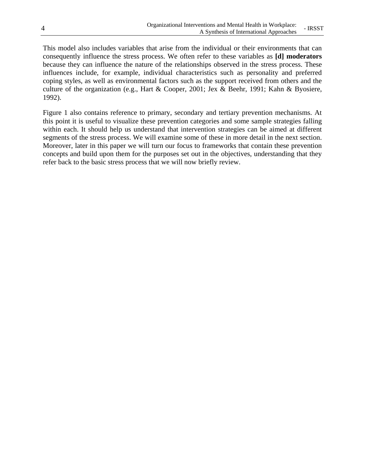This model also includes variables that arise from the individual or their environments that can consequently influence the stress process. We often refer to these variables as **[d] moderators** because they can influence the nature of the relationships observed in the stress process. These influences include, for example, individual characteristics such as personality and preferred coping styles, as well as environmental factors such as the support received from others and the culture of the organization (e.g., Hart & Cooper, 2001; Jex & Beehr, 1991; Kahn & Byosiere, 1992).

Figure 1 also contains reference to primary, secondary and tertiary prevention mechanisms. At this point it is useful to visualize these prevention categories and some sample strategies falling within each. It should help us understand that intervention strategies can be aimed at different segments of the stress process. We will examine some of these in more detail in the next section. Moreover, later in this paper we will turn our focus to frameworks that contain these prevention concepts and build upon them for the purposes set out in the objectives, understanding that they refer back to the basic stress process that we will now briefly review.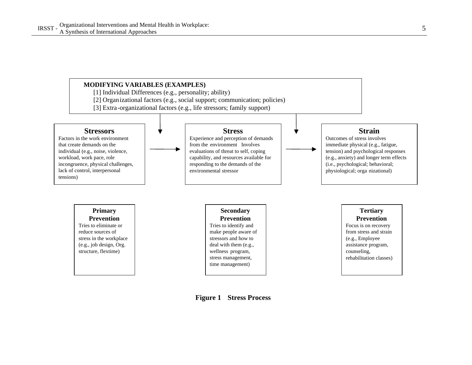

**Figure 1 Stress Process**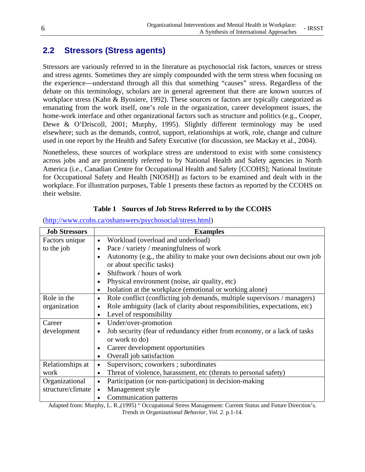# **2.2 Stressors (Stress agents)**

Stressors are variously referred to in the literature as psychosocial risk factors, sources or stress and stress agents. Sometimes they are simply compounded with the term stress when focusing on the experience—understand through all this that something "causes" stress. Regardless of the debate on this terminology, scholars are in general agreement that there are known sources of workplace stress (Kahn & Byosiere, 1992). These sources or factors are typically categorized as emanating from the work itself, one's role in the organization, career development issues, the home-work interface and other organizational factors such as structure and politics (e.g., Cooper, Dewe & O'Driscoll, 2001; Murphy, 1995). Slightly different terminology may be used elsewhere; such as the demands, control, support, relationships at work, role, change and culture used in one report by the Health and Safety Executive (for discussion, see Mackay et al., 2004).

Nonetheless, these sources of workplace stress are understood to exist with some consistency across jobs and are prominently referred to by National Health and Safety agencies in North America (i.e., Canadian Centre for Occupational Health and Safety [CCOHS]; National Institute for Occupational Safety and Health [NIOSH]) as factors to be examined and dealt with in the workplace. For illustration purposes, Table 1 presents these factors as reported by the CCOHS on their website.

| <b>Job Stressors</b> | <b>Examples</b>                                                                                        |
|----------------------|--------------------------------------------------------------------------------------------------------|
| Factors unique       | Workload (overload and underload)<br>$\bullet$                                                         |
| to the job           | Pace / variety / meaningfulness of work<br>$\bullet$                                                   |
|                      | Autonomy (e.g., the ability to make your own decisions about our own job                               |
|                      | or about specific tasks)                                                                               |
|                      | Shiftwork / hours of work<br>$\bullet$                                                                 |
|                      | Physical environment (noise, air quality, etc)<br>٠                                                    |
|                      | Isolation at the workplace (emotional or working alone)<br>$\bullet$                                   |
| Role in the          | Role conflict (conflicting job demands, multiple supervisors / managers)<br>$\bullet$                  |
| organization         | Role ambiguity (lack of clarity about responsibilities, expectations, etc)<br>$\bullet$                |
|                      | Level of responsibility<br>$\bullet$                                                                   |
| Career               | Under/over-promotion<br>$\bullet$                                                                      |
| development          | Job security (fear of redundancy either from economy, or a lack of tasks<br>$\bullet$                  |
|                      | or work to do)                                                                                         |
|                      | Career development opportunities                                                                       |
|                      | Overall job satisfaction<br>$\bullet$                                                                  |
| Relationships at     | Supervisors; coworkers; subordinates<br>$\bullet$                                                      |
| work                 | Threat of violence, harassment, etc (threats to personal safety)<br>$\bullet$                          |
| Organizational       | Participation (or non-participation) in decision-making<br>$\bullet$                                   |
| structure/climate    | Management style<br>$\bullet$                                                                          |
|                      | Communication patterns                                                                                 |
|                      | Adopted from: Murphy I D (1005) "Occupational Stross Management: Current Status and Euture Direction's |

# **Table 1 Sources of Job Stress Referred to by the CCOHS**

(http://www.ccohs.ca/oshanswers/psychosocial/stress.html)

Adapted from: Murphy, L. R.,(1995) " Occupational Stress Management: Current Status and Future Direction's. *Trends in Organizational Behavior, Vol. 2.* p.1-14.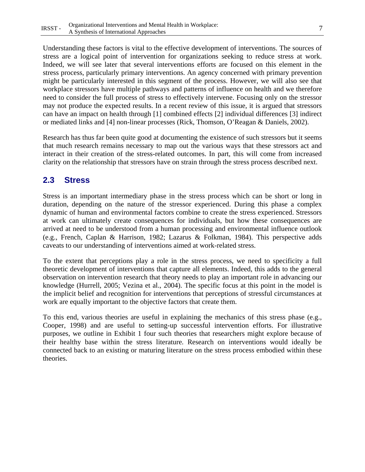Understanding these factors is vital to the effective development of interventions. The sources of stress are a logical point of intervention for organizations seeking to reduce stress at work. Indeed, we will see later that several interventions efforts are focused on this element in the stress process, particularly primary interventions. An agency concerned with primary prevention might be particularly interested in this segment of the process. However, we will also see that workplace stressors have multiple pathways and patterns of influence on health and we therefore need to consider the full process of stress to effectively intervene. Focusing only on the stressor may not produce the expected results. In a recent review of this issue, it is argued that stressors can have an impact on health through [1] combined effects [2] individual differences [3] indirect

Research has thus far been quite good at documenting the existence of such stressors but it seems that much research remains necessary to map out the various ways that these stressors act and interact in their creation of the stress-related outcomes. In part, this will come from increased clarity on the relationship that stressors have on strain through the stress process described next.

or mediated links and [4] non-linear processes (Rick, Thomson, O'Reagan & Daniels, 2002).

# **2.3 Stress**

Stress is an important intermediary phase in the stress process which can be short or long in duration, depending on the nature of the stressor experienced. During this phase a complex dynamic of human and environmental factors combine to create the stress experienced. Stressors at work can ultimately create consequences for individuals, but how these consequences are arrived at need to be understood from a human processing and environmental influence outlook (e.g., French, Caplan & Harrison, 1982; Lazarus & Folkman, 1984). This perspective adds caveats to our understanding of interventions aimed at work-related stress.

To the extent that perceptions play a role in the stress process, we need to specificity a full theoretic development of interventions that capture all elements. Indeed, this adds to the general observation on intervention research that theory needs to play an important role in advancing our knowledge (Hurrell, 2005; Vezina et al., 2004). The specific focus at this point in the model is the implicit belief and recognition for interventions that perceptions of stressful circumstances at work are equally important to the objective factors that create them.

To this end, various theories are useful in explaining the mechanics of this stress phase (e.g., Cooper, 1998) and are useful to setting-up successful intervention efforts. For illustrative purposes, we outline in Exhibit 1 four such theories that researchers might explore because of their healthy base within the stress literature. Research on interventions would ideally be connected back to an existing or maturing literature on the stress process embodied within these theories.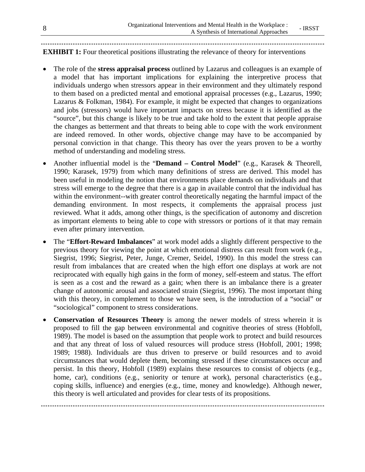#### **EXHIBIT 1:** Four theoretical positions illustrating the relevance of theory for interventions

- The role of the **stress appraisal process** outlined by Lazarus and colleagues is an example of a model that has important implications for explaining the interpretive process that individuals undergo when stressors appear in their environment and they ultimately respond to them based on a predicted mental and emotional appraisal processes (e.g., Lazarus, 1990; Lazarus & Folkman, 1984). For example, it might be expected that changes to organizations and jobs (stressors) would have important impacts on stress because it is identified as the "source", but this change is likely to be true and take hold to the extent that people appraise the changes as betterment and that threats to being able to cope with the work environment are indeed removed. In other words, objective change may have to be accompanied by personal conviction in that change. This theory has over the years proven to be a worthy method of understanding and modeling stress.
- Another influential model is the "**Demand Control Model**" (e.g., Karasek & Theorell, 1990; Karasek, 1979) from which many definitions of stress are derived. This model has been useful in modeling the notion that environments place demands on individuals and that stress will emerge to the degree that there is a gap in available control that the individual has within the environment--with greater control theoretically negating the harmful impact of the demanding environment. In most respects, it complements the appraisal process just reviewed. What it adds, among other things, is the specification of autonomy and discretion as important elements to being able to cope with stressors or portions of it that may remain even after primary intervention.
- The "**Effort-Reward Imbalances**" at work model adds a slightly different perspective to the previous theory for viewing the point at which emotional distress can result from work (e.g., Siegrist, 1996; Siegrist, Peter, Junge, Cremer, Seidel, 1990). In this model the stress can result from imbalances that are created when the high effort one displays at work are not reciprocated with equally high gains in the form of money, self-esteem and status. The effort is seen as a cost and the reward as a gain; when there is an imbalance there is a greater change of autonomic arousal and associated strain (Siegrist, 1996). The most important thing with this theory, in complement to those we have seen, is the introduction of a "social" or "sociological" component to stress considerations.
- **Conservation of Resources Theory** is among the newer models of stress wherein it is proposed to fill the gap between environmental and cognitive theories of stress (Hobfoll, 1989). The model is based on the assumption that people work to protect and build resources and that any threat of loss of valued resources will produce stress (Hobfoll, 2001; 1998; 1989; 1988). Individuals are thus driven to preserve or build resources and to avoid circumstances that would deplete them, becoming stressed if these circumstances occur and persist. In this theory, Hobfoll (1989) explains these resources to consist of objects (e.g., home, car), conditions (e.g., seniority or tenure at work), personal characteristics (e.g., coping skills, influence) and energies (e.g., time, money and knowledge). Although newer, this theory is well articulated and provides for clear tests of its propositions.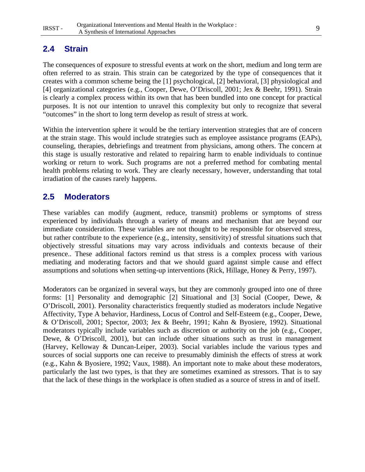# **2.4 Strain**

The consequences of exposure to stressful events at work on the short, medium and long term are often referred to as strain. This strain can be categorized by the type of consequences that it creates with a common scheme being the [1] psychological, [2] behavioral, [3] physiological and [4] organizational categories (e.g., Cooper, Dewe, O'Driscoll, 2001; Jex & Beehr, 1991). Strain is clearly a complex process within its own that has been bundled into one concept for practical purposes. It is not our intention to unravel this complexity but only to recognize that several "outcomes" in the short to long term develop as result of stress at work.

Within the intervention sphere it would be the tertiary intervention strategies that are of concern at the strain stage. This would include strategies such as employee assistance programs (EAPs), counseling, therapies, debriefings and treatment from physicians, among others. The concern at this stage is usually restorative and related to repairing harm to enable individuals to continue working or return to work. Such programs are not a preferred method for combating mental health problems relating to work. They are clearly necessary, however, understanding that total irradiation of the causes rarely happens.

# **2.5 Moderators**

These variables can modify (augment, reduce, transmit) problems or symptoms of stress experienced by individuals through a variety of means and mechanism that are beyond our immediate consideration. These variables are not thought to be responsible for observed stress, but rather contribute to the experience (e.g., intensity, sensitivity) of stressful situations such that objectively stressful situations may vary across individuals and contexts because of their presence.. These additional factors remind us that stress is a complex process with various mediating and moderating factors and that we should guard against simple cause and effect assumptions and solutions when setting-up interventions (Rick, Hillage, Honey & Perry, 1997).

Moderators can be organized in several ways, but they are commonly grouped into one of three forms: [1] Personality and demographic [2] Situational and [3] Social (Cooper, Dewe, & O'Driscoll, 2001). Personality characteristics frequently studied as moderators include Negative Affectivity, Type A behavior, Hardiness, Locus of Control and Self-Esteem (e.g., Cooper, Dewe, & O'Driscoll, 2001; Spector, 2003; Jex & Beehr, 1991; Kahn & Byosiere, 1992). Situational moderators typically include variables such as discretion or authority on the job (e.g., Cooper, Dewe, & O'Driscoll, 2001), but can include other situations such as trust in management (Harvey, Kelloway & Duncan-Leiper, 2003). Social variables include the various types and sources of social supports one can receive to presumably diminish the effects of stress at work (e.g., Kahn & Byosiere, 1992; Vaux, 1988). An important note to make about these moderators, particularly the last two types, is that they are sometimes examined as stressors. That is to say that the lack of these things in the workplace is often studied as a source of stress in and of itself.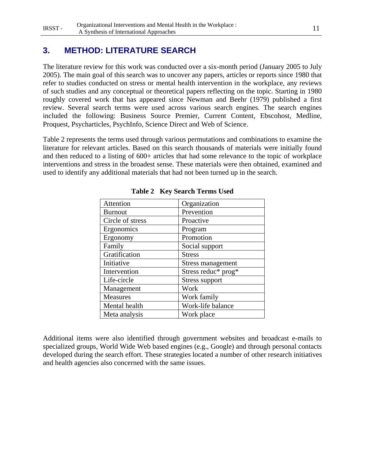# **3. METHOD: LITERATURE SEARCH**

The literature review for this work was conducted over a six-month period (January 2005 to July 2005). The main goal of this search was to uncover any papers, articles or reports since 1980 that refer to studies conducted on stress or mental health intervention in the workplace, any reviews of such studies and any conceptual or theoretical papers reflecting on the topic. Starting in 1980 roughly covered work that has appeared since Newman and Beehr (1979) published a first review. Several search terms were used across various search engines. The search engines included the following: Business Source Premier, Current Content, Ebscohost, Medline, Proquest, Psycharticles, PsychInfo, Science Direct and Web of Science.

Table 2 represents the terms used through various permutations and combinations to examine the literature for relevant articles. Based on this search thousands of materials were initially found and then reduced to a listing of 600+ articles that had some relevance to the topic of workplace interventions and stress in the broadest sense. These materials were then obtained, examined and used to identify any additional materials that had not been turned up in the search.

| Attention        | Organization             |
|------------------|--------------------------|
| <b>Burnout</b>   | Prevention               |
| Circle of stress | Proactive                |
| Ergonomics       | Program                  |
| Ergonomy         | Promotion                |
| Family           | Social support           |
| Gratification    | <b>Stress</b>            |
| Initiative       | <b>Stress management</b> |
| Intervention     | Stress reduc* prog*      |
| Life-circle      | <b>Stress support</b>    |
| Management       | Work                     |
| Measures         | Work family              |
| Mental health    | Work-life balance        |
| Meta analysis    | Work place               |

**Table 2 Key Search Terms Used** 

Additional items were also identified through government websites and broadcast e-mails to specialized groups, World Wide Web based engines (e.g., Google) and through personal contacts developed during the search effort. These strategies located a number of other research initiatives and health agencies also concerned with the same issues.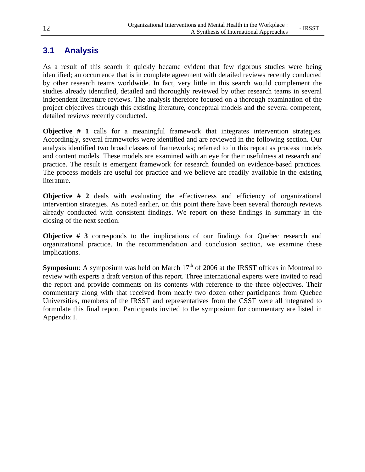# **3.1 Analysis**

As a result of this search it quickly became evident that few rigorous studies were being identified; an occurrence that is in complete agreement with detailed reviews recently conducted by other research teams worldwide. In fact, very little in this search would complement the studies already identified, detailed and thoroughly reviewed by other research teams in several independent literature reviews. The analysis therefore focused on a thorough examination of the project objectives through this existing literature, conceptual models and the several competent, detailed reviews recently conducted.

**Objective # 1** calls for a meaningful framework that integrates intervention strategies. Accordingly, several frameworks were identified and are reviewed in the following section. Our analysis identified two broad classes of frameworks; referred to in this report as process models and content models. These models are examined with an eye for their usefulness at research and practice. The result is emergent framework for research founded on evidence-based practices. The process models are useful for practice and we believe are readily available in the existing literature.

**Objective # 2** deals with evaluating the effectiveness and efficiency of organizational intervention strategies. As noted earlier, on this point there have been several thorough reviews already conducted with consistent findings. We report on these findings in summary in the closing of the next section.

**Objective # 3** corresponds to the implications of our findings for Quebec research and organizational practice. In the recommendation and conclusion section, we examine these implications.

**Symposium**: A symposium was held on March  $17<sup>th</sup>$  of 2006 at the IRSST offices in Montreal to review with experts a draft version of this report. Three international experts were invited to read the report and provide comments on its contents with reference to the three objectives. Their commentary along with that received from nearly two dozen other participants from Quebec Universities, members of the IRSST and representatives from the CSST were all integrated to formulate this final report. Participants invited to the symposium for commentary are listed in Appendix I.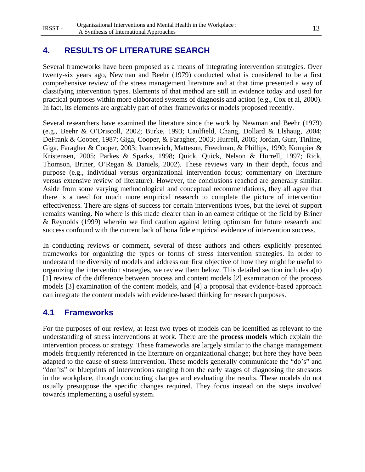# **4. RESULTS OF LITERATURE SEARCH**

Several frameworks have been proposed as a means of integrating intervention strategies. Over twenty-six years ago, Newman and Beehr (1979) conducted what is considered to be a first comprehensive review of the stress management literature and at that time presented a way of classifying intervention types. Elements of that method are still in evidence today and used for practical purposes within more elaborated systems of diagnosis and action (e.g., Cox et al, 2000). In fact, its elements are arguably part of other frameworks or models proposed recently.

Several researchers have examined the literature since the work by Newman and Beehr (1979) (e.g., Beehr & O'Driscoll, 2002; Burke, 1993; Caulfield, Chang, Dollard & Elshaug, 2004; DeFrank & Cooper, 1987; Giga, Cooper, & Faragher, 2003; Hurrell, 2005; Jordan, Gurr, Tinline, Giga, Faragher & Cooper, 2003; Ivancevich, Matteson, Freedman, & Phillips, 1990; Kompier & Kristensen, 2005; Parkes & Sparks, 1998; Quick, Quick, Nelson & Hurrell, 1997; Rick, Thomson, Briner, O'Regan & Daniels, 2002). These reviews vary in their depth, focus and purpose (e.g., individual versus organizational intervention focus; commentary on literature versus extensive review of literature). However, the conclusions reached are generally similar. Aside from some varying methodological and conceptual recommendations, they all agree that there is a need for much more empirical research to complete the picture of intervention effectiveness. There are signs of success for certain interventions types, but the level of support remains wanting. No where is this made clearer than in an earnest critique of the field by Briner & Reynolds (1999) wherein we find caution against letting optimism for future research and success confound with the current lack of bona fide empirical evidence of intervention success.

In conducting reviews or comment, several of these authors and others explicitly presented frameworks for organizing the types or forms of stress intervention strategies. In order to understand the diversity of models and address our first objective of how they might be useful to organizing the intervention strategies, we review them below. This detailed section includes a(n) [1] review of the difference between process and content models [2] examination of the process models [3] examination of the content models, and [4] a proposal that evidence-based approach can integrate the content models with evidence-based thinking for research purposes.

# **4.1 Frameworks**

For the purposes of our review, at least two types of models can be identified as relevant to the understanding of stress interventions at work. There are the **process models** which explain the intervention process or strategy. These frameworks are largely similar to the change management models frequently referenced in the literature on organizational change; but here they have been adapted to the cause of stress intervention. These models generally communicate the "do's" and "don'ts" or blueprints of interventions ranging from the early stages of diagnosing the stressors in the workplace, through conducting changes and evaluating the results. These models do not usually presuppose the specific changes required. They focus instead on the steps involved towards implementing a useful system.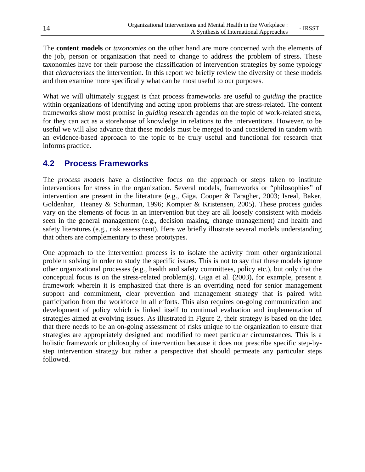The **content models** or *taxonomies* on the other hand are more concerned with the elements of the job, person or organization that need to change to address the problem of stress. These taxonomies have for their purpose the classification of intervention strategies by some typology that *characterizes* the intervention. In this report we briefly review the diversity of these models and then examine more specifically what can be most useful to our purposes.

What we will ultimately suggest is that process frameworks are useful to *guiding* the practice within organizations of identifying and acting upon problems that are stress-related. The content frameworks show most promise in *guiding* research agendas on the topic of work-related stress, for they can act as a storehouse of knowledge in relations to the interventions. However, to be useful we will also advance that these models must be merged to and considered in tandem with an evidence-based approach to the topic to be truly useful and functional for research that informs practice.

# **4.2 Process Frameworks**

The *process models* have a distinctive focus on the approach or steps taken to institute interventions for stress in the organization. Several models, frameworks or "philosophies" of intervention are present in the literature (e.g., Giga, Cooper & Faragher, 2003; Isreal, Baker, Goldenhar, Heaney & Schurman, 1996; Kompier & Kristensen, 2005). These process guides vary on the elements of focus in an intervention but they are all loosely consistent with models seen in the general management (e.g., decision making, change management) and health and safety literatures (e.g., risk assessment). Here we briefly illustrate several models understanding that others are complementary to these prototypes.

One approach to the intervention process is to isolate the activity from other organizational problem solving in order to study the specific issues. This is not to say that these models ignore other organizational processes (e.g., health and safety committees, policy etc.), but only that the conceptual focus is on the stress-related problem(s). Giga et al. (2003), for example, present a framework wherein it is emphasized that there is an overriding need for senior management support and commitment, clear prevention and management strategy that is paired with participation from the workforce in all efforts. This also requires on-going communication and development of policy which is linked itself to continual evaluation and implementation of strategies aimed at evolving issues. As illustrated in Figure 2, their strategy is based on the idea that there needs to be an on-going assessment of risks unique to the organization to ensure that strategies are appropriately designed and modified to meet particular circumstances. This is a holistic framework or philosophy of intervention because it does not prescribe specific step-bystep intervention strategy but rather a perspective that should permeate any particular steps followed.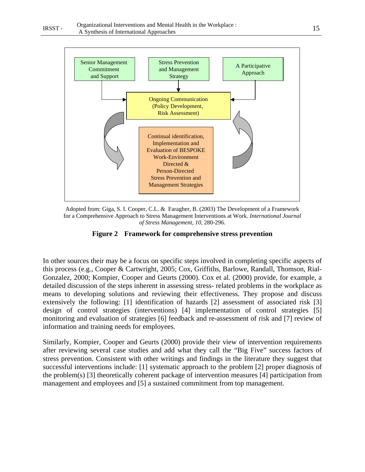

Adopted from: Giga, S. I. Cooper, C.L. & Faragher, B. (2003) The Development of a Framework for a Comprehensive Approach to Stress Management Interventions at Work. *International Journal of Stress Management, 10*, 280-296.



In other sources their may be a focus on specific steps involved in completing specific aspects of this process (e.g., Cooper & Cartwright, 2005; Cox, Griffiths, Barlowe, Randall, Thomson, Rial-Gonzalez, 2000; Kompier, Cooper and Geurts (2000). Cox et al. (2000) provide, for example, a detailed discussion of the steps inherent in assessing stress- related problems in the workplace as means to developing solutions and reviewing their effectiveness. They propose and discuss extensively the following: [1] identification of hazards [2] assessment of associated risk [3] design of control strategies (interventions) [4] implementation of control strategies [5] monitoring and evaluation of strategies [6] feedback and re-assessment of risk and [7] review of information and training needs for employees.

Similarly, Kompier, Cooper and Geurts (2000) provide their view of intervention requirements after reviewing several case studies and add what they call the "Big Five" success factors of stress prevention. Consistent with other writings and findings in the literature they suggest that successful interventions include: [1] systematic approach to the problem [2] proper diagnosis of the problem(s) [3] theoretically coherent package of intervention measures [4] participation from management and employees and [5] a sustained commitment from top management.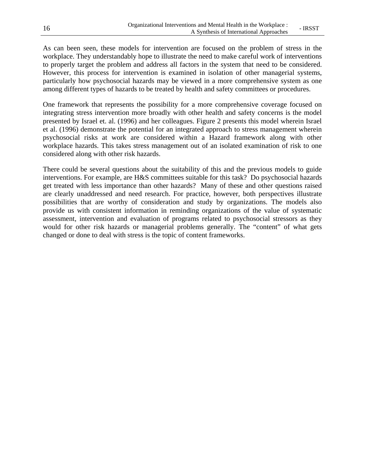As can been seen, these models for intervention are focused on the problem of stress in the workplace. They understandably hope to illustrate the need to make careful work of interventions to properly target the problem and address all factors in the system that need to be considered. However, this process for intervention is examined in isolation of other managerial systems, particularly how psychosocial hazards may be viewed in a more comprehensive system as one among different types of hazards to be treated by health and safety committees or procedures.

One framework that represents the possibility for a more comprehensive coverage focused on integrating stress intervention more broadly with other health and safety concerns is the model presented by Israel et. al. (1996) and her colleagues. Figure 2 presents this model wherein Israel et al. (1996) demonstrate the potential for an integrated approach to stress management wherein psychosocial risks at work are considered within a Hazard framework along with other workplace hazards. This takes stress management out of an isolated examination of risk to one considered along with other risk hazards.

There could be several questions about the suitability of this and the previous models to guide interventions. For example, are H&S committees suitable for this task? Do psychosocial hazards get treated with less importance than other hazards? Many of these and other questions raised are clearly unaddressed and need research. For practice, however, both perspectives illustrate possibilities that are worthy of consideration and study by organizations. The models also provide us with consistent information in reminding organizations of the value of systematic assessment, intervention and evaluation of programs related to psychosocial stressors as they would for other risk hazards or managerial problems generally. The "content" of what gets changed or done to deal with stress is the topic of content frameworks.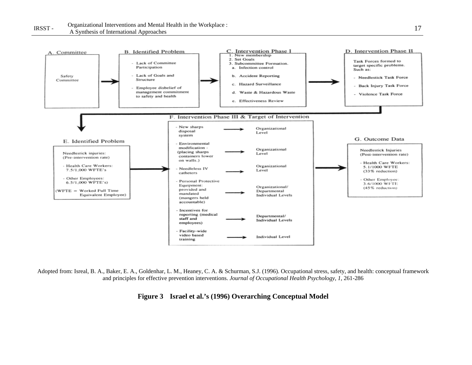

Adopted from: Isreal, B. A., Baker, E. A., Goldenhar, L. M., Heaney, C. A. & Schurman, S.J. (1996). Occupational stress, safety, and health: conceptual framework and principles for effective prevention interventions. *Journal of Occupational Health Psychology, 1,* 261-286

**Figure 3 Israel et al.'s (1996) Overarching Conceptual Model**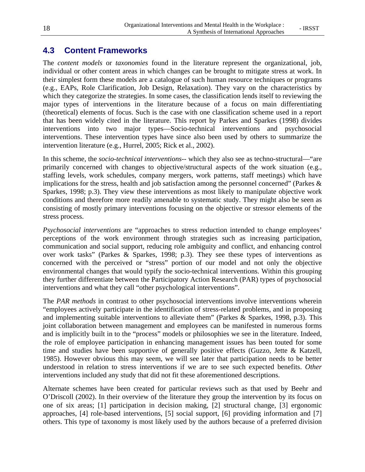# **4.3 Content Frameworks**

The *content models* or *taxonomies* found in the literature represent the organizational, job, individual or other content areas in which changes can be brought to mitigate stress at work. In their simplest form these models are a catalogue of such human resource techniques or programs (e.g., EAPs, Role Clarification, Job Design, Relaxation). They vary on the characteristics by which they categorize the strategies. In some cases, the classification lends itself to reviewing the major types of interventions in the literature because of a focus on main differentiating (theoretical) elements of focus. Such is the case with one classification scheme used in a report that has been widely cited in the literature. This report by Parkes and Sparkes (1998) divides interventions into two major types—Socio-technical interventions and psychosocial interventions. These intervention types have since also been used by others to summarize the intervention literature (e.g., Hurrel, 2005; Rick et al., 2002).

In this scheme, the *socio-technical interventions*-- which they also see as techno-structural—"are primarily concerned with changes to objective/structural aspects of the work situation (e.g., staffing levels, work schedules, company mergers, work patterns, staff meetings) which have implications for the stress, health and job satisfaction among the personnel concerned" (Parkes & Sparkes, 1998; p.3). They view these interventions as most likely to manipulate objective work conditions and therefore more readily amenable to systematic study. They might also be seen as consisting of mostly primary interventions focusing on the objective or stressor elements of the stress process.

*Psychosocial interventions* are "approaches to stress reduction intended to change employees' perceptions of the work environment through strategies such as increasing participation, communication and social support, reducing role ambiguity and conflict, and enhancing control over work tasks" (Parkes & Sparkes, 1998; p.3). They see these types of interventions as concerned with the perceived or "stress" portion of our model and not only the objective environmental changes that would typify the socio-technical interventions. Within this grouping they further differentiate between the Participatory Action Research (PAR) types of psychosocial interventions and what they call "other psychological interventions".

The *PAR methods* in contrast to other psychosocial interventions involve interventions wherein "employees actively participate in the identification of stress-related problems, and in proposing and implementing suitable interventions to alleviate them" (Parkes & Sparkes, 1998, p.3). This joint collaboration between management and employees can be manifested in numerous forms and is implicitly built in to the "process" models or philosophies we see in the literature. Indeed, the role of employee participation in enhancing management issues has been touted for some time and studies have been supportive of generally positive effects (Guzzo, Jette & Katzell, 1985). However obvious this may seem, we will see later that participation needs to be better understood in relation to stress interventions if we are to see such expected benefits. *Other* interventions included any study that did not fit these aforementioned descriptions.

Alternate schemes have been created for particular reviews such as that used by Beehr and O'Driscoll (2002). In their overview of the literature they group the intervention by its focus on one of six areas; [1] participation in decision making, [2] structural change, [3] ergonomic approaches, [4] role-based interventions, [5] social support, [6] providing information and [7] others. This type of taxonomy is most likely used by the authors because of a preferred division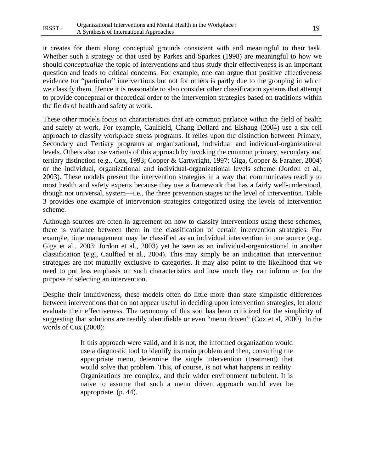it creates for them along conceptual grounds consistent with and meaningful to their task. Whether such a strategy or that used by Parkes and Sparkes (1998) are meaningful to how we should *conceptualize* the topic of interventions and thus study their effectiveness is an important question and leads to critical concerns. For example, one can argue that positive effectiveness evidence for "particular" interventions but not for others is partly due to the grouping in which we classify them. Hence it is reasonable to also consider other classification systems that attempt to provide conceptual or theoretical order to the intervention strategies based on traditions within the fields of health and safety at work.

These other models focus on characteristics that are common parlance within the field of health and safety at work. For example, Caulfield, Chang Dollard and Elshaug (2004) use a six cell approach to classify workplace stress programs. It relies upon the distinction between Primary, Secondary and Tertiary programs at organizational, individual and individual-organizational levels. Others also use variants of this approach by invoking the common primary, secondary and tertiary distinction (e.g., Cox, 1993; Cooper & Cartwright, 1997; Giga, Cooper & Faraher, 2004) or the individual, organizational and individual-organizational levels scheme (Jordon et al., 2003). These models present the intervention strategies in a way that communicates readily to most health and safety experts because they use a framework that has a fairly well-understood, though not universal, system—i.e., the three prevention stages or the level of intervention. Table 3 provides one example of intervention strategies categorized using the levels of intervention scheme.

Although sources are often in agreement on how to classify interventions using these schemes, there is variance between them in the classification of certain intervention strategies. For example, time management may be classified as an individual intervention in one source (e.g., Giga et al., 2003; Jordon et al., 2003) yet be seen as an individual-organizational in another classification (e.g., Caulfied et al., 2004). This may simply be an indication that intervention strategies are not mutually exclusive to categories. It may also point to the likelihood that we need to put less emphasis on such characteristics and how much they can inform us for the purpose of selecting an intervention.

Despite their intuitiveness, these models often do little more than state simplistic differences between interventions that do not appear useful in deciding upon intervention strategies, let alone evaluate their effectiveness. The taxonomy of this sort has been criticized for the simplicity of suggesting that solutions are readily identifiable or even "menu driven" (Cox et al, 2000). In the words of Cox (2000):

> If this approach were valid, and it is not, the informed organization would use a diagnostic tool to identify its main problem and then, consulting the appropriate menu, determine the single intervention (treatment) that would solve that problem. This, of course, is not what happens in reality. Organizations are complex, and their wider environment turbulent. It is naïve to assume that such a menu driven approach would ever be appropriate. (p. 44).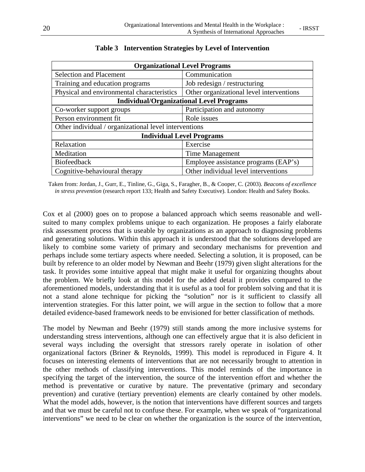| <b>Organizational Level Programs</b>                  |                                          |  |  |  |
|-------------------------------------------------------|------------------------------------------|--|--|--|
| <b>Selection and Placement</b>                        | Communication                            |  |  |  |
| Training and education programs                       | Job redesign / restructuring             |  |  |  |
| Physical and environmental characteristics            | Other organizational level interventions |  |  |  |
| <b>Individual/Organizational Level Programs</b>       |                                          |  |  |  |
| Co-worker support groups                              | Participation and autonomy               |  |  |  |
| Person environment fit                                | Role issues                              |  |  |  |
| Other individual / organizational level interventions |                                          |  |  |  |
| <b>Individual Level Programs</b>                      |                                          |  |  |  |
| Relaxation                                            | Exercise                                 |  |  |  |
| Meditation                                            | Time Management                          |  |  |  |
| Biofeedback                                           | Employee assistance programs (EAP's)     |  |  |  |
| Cognitive-behavioural therapy                         | Other individual level interventions     |  |  |  |

#### **Table 3 Intervention Strategies by Level of Intervention**

Taken from: Jordan, J., Gurr, E., Tinline, G., Giga, S., Faragher, B., & Cooper, C. (2003). *Beacons of excellence in stress prevention* (research report 133; Health and Safety Executive). London: Health and Safety Books.

Cox et al (2000) goes on to propose a balanced approach which seems reasonable and wellsuited to many complex problems unique to each organization. He proposes a fairly elaborate risk assessment process that is useable by organizations as an approach to diagnosing problems and generating solutions. Within this approach it is understood that the solutions developed are likely to combine some variety of primary and secondary mechanisms for prevention and perhaps include some tertiary aspects where needed. Selecting a solution, it is proposed, can be built by reference to an older model by Newman and Beehr (1979) given slight alterations for the task. It provides some intuitive appeal that might make it useful for organizing thoughts about the problem. We briefly look at this model for the added detail it provides compared to the aforementioned models, understanding that it is useful as a tool for problem solving and that it is not a stand alone technique for picking the "solution" nor is it sufficient to classify all intervention strategies. For this latter point, we will argue in the section to follow that a more detailed evidence-based framework needs to be envisioned for better classification of methods.

The model by Newman and Beehr (1979) still stands among the more inclusive systems for understanding stress interventions, although one can effectively argue that it is also deficient in several ways including the oversight that stressors rarely operate in isolation of other organizational factors (Briner & Reynolds, 1999). This model is reproduced in Figure 4. It focuses on interesting elements of interventions that are not necessarily brought to attention in the other methods of classifying interventions. This model reminds of the importance in specifying the target of the intervention, the source of the intervention effort and whether the method is preventative or curative by nature. The preventative (primary and secondary prevention) and curative (tertiary prevention) elements are clearly contained by other models. What the model adds, however, is the notion that interventions have different sources and targets and that we must be careful not to confuse these. For example, when we speak of "organizational interventions" we need to be clear on whether the organization is the source of the intervention,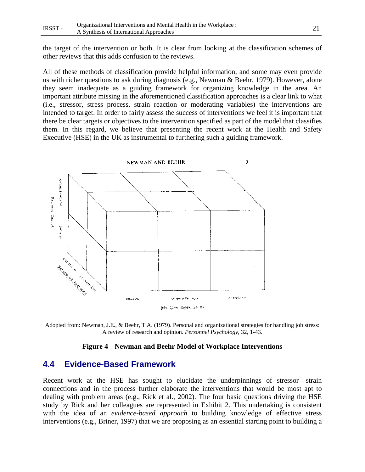the target of the intervention or both. It is clear from looking at the classification schemes of other reviews that this adds confusion to the reviews.

All of these methods of classification provide helpful information, and some may even provide us with richer questions to ask during diagnosis (e.g., Newman & Beehr, 1979). However, alone they seem inadequate as a guiding framework for organizing knowledge in the area. An important attribute missing in the aforementioned classification approaches is a clear link to what (i.e., stressor, stress process, strain reaction or moderating variables) the interventions are intended to target. In order to fairly assess the success of interventions we feel it is important that there be clear targets or objectives to the intervention specified as part of the model that classifies them. In this regard, we believe that presenting the recent work at the Health and Safety Executive (HSE) in the UK as instrumental to furthering such a guiding framework.



Adopted from: Newman, J.E., & Beehr, T.A. (1979). Personal and organizational strategies for handling job stress: A review of research and opinion. *Personnel Psychology*, 32, 1-43.

#### **Figure 4 Newman and Beehr Model of Workplace Interventions**

#### **4.4 Evidence-Based Framework**

Recent work at the HSE has sought to elucidate the underpinnings of stressor—strain connections and in the process further elaborate the interventions that would be most apt to dealing with problem areas (e.g., Rick et al., 2002). The four basic questions driving the HSE study by Rick and her colleagues are represented in Exhibit 2. This undertaking is consistent with the idea of an *evidence-based approach* to building knowledge of effective stress interventions (e.g., Briner, 1997) that we are proposing as an essential starting point to building a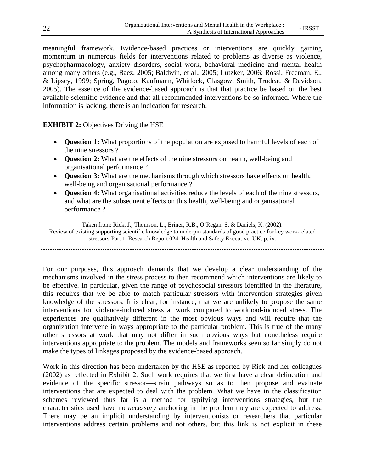meaningful framework. Evidence-based practices or interventions are quickly gaining momentum in numerous fields for interventions related to problems as diverse as violence, psychopharmacology, anxiety disorders, social work, behavioral medicine and mental health among many others (e.g., Baez, 2005; Baldwin, et al., 2005; Lutzker, 2006; Rossi, Freeman, E., & Lipsey, 1999; Spring, Pagoto, Kaufmann, Whitlock, Glasgow, Smith, Trudeau & Davidson, 2005). The essence of the evidence-based approach is that that practice be based on the best available scientific evidence and that all recommended interventions be so informed. Where the information is lacking, there is an indication for research.

**EXHIBIT 2:** Objectives Driving the HSE

- **Question 1:** What proportions of the population are exposed to harmful levels of each of the nine stressors ?
- **Question 2:** What are the effects of the nine stressors on health, well-being and organisational performance ?
- **Question 3:** What are the mechanisms through which stressors have effects on health, well-being and organisational performance ?
- **Question 4:** What organisational activities reduce the levels of each of the nine stressors, and what are the subsequent effects on this health, well-being and organisational performance ?

Taken from: Rick, J., Thomson, L., Briner, R.B., O'Regan, S. & Daniels, K. (2002). Review of existing supporting scientific knowledge to underpin standards of good practice for key work-related stressors-Part 1. Research Report 024, Health and Safety Executive, UK. p. ix.

For our purposes, this approach demands that we develop a clear understanding of the mechanisms involved in the stress process to then recommend which interventions are likely to be effective. In particular, given the range of psychosocial stressors identified in the literature, this requires that we be able to match particular stressors with intervention strategies given knowledge of the stressors. It is clear, for instance, that we are unlikely to propose the same interventions for violence-induced stress at work compared to workload-induced stress. The experiences are qualitatively different in the most obvious ways and will require that the organization intervene in ways appropriate to the particular problem. This is true of the many other stressors at work that may not differ in such obvious ways but nonetheless require interventions appropriate to the problem. The models and frameworks seen so far simply do not make the types of linkages proposed by the evidence-based approach.

Work in this direction has been undertaken by the HSE as reported by Rick and her colleagues (2002) as reflected in Exhibit 2. Such work requires that we first have a clear delineation and evidence of the specific stressor—strain pathways so as to then propose and evaluate interventions that are expected to deal with the problem. What we have in the classification schemes reviewed thus far is a method for typifying interventions strategies, but the characteristics used have no *necessary* anchoring in the problem they are expected to address. There may be an implicit understanding by interventionists or researchers that particular interventions address certain problems and not others, but this link is not explicit in these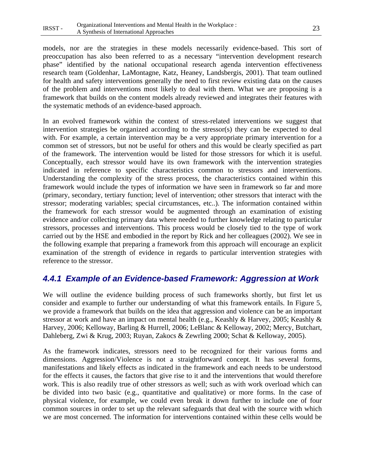models, nor are the strategies in these models necessarily evidence-based. This sort of preoccupation has also been referred to as a necessary "intervention development research phase" identified by the national occupational research agenda intervention effectiveness research team (Goldenhar, LaMontagne, Katz, Heaney, Landsbergis, 2001). That team outlined for health and safety interventions generally the need to first review existing data on the causes of the problem and interventions most likely to deal with them. What we are proposing is a framework that builds on the content models already reviewed and integrates their features with the systematic methods of an evidence-based approach.

In an evolved framework within the context of stress-related interventions we suggest that intervention strategies be organized according to the stressor(s) they can be expected to deal with. For example, a certain intervention may be a very appropriate primary intervention for a common set of stressors, but not be useful for others and this would be clearly specified as part of the framework. The intervention would be listed for those stressors for which it is useful. Conceptually, each stressor would have its own framework with the intervention strategies indicated in reference to specific characteristics common to stressors and interventions. Understanding the complexity of the stress process, the characteristics contained within this framework would include the types of information we have seen in framework so far and more (primary, secondary, tertiary function; level of intervention; other stressors that interact with the stressor; moderating variables; special circumstances, etc..). The information contained within the framework for each stressor would be augmented through an examination of existing evidence and/or collecting primary data where needed to further knowledge relating to particular stressors, processes and interventions. This process would be closely tied to the type of work carried out by the HSE and embodied in the report by Rick and her colleagues (2002). We see in the following example that preparing a framework from this approach will encourage an explicit examination of the strength of evidence in regards to particular intervention strategies with reference to the stressor.

# *4.4.1 Example of an Evidence-based Framework: Aggression at Work*

We will outline the evidence building process of such frameworks shortly, but first let us consider and example to further our understanding of what this framework entails. In Figure 5, we provide a framework that builds on the idea that aggression and violence can be an important stressor at work and have an impact on mental health (e.g., Keashly & Harvey, 2005; Keashly & Harvey, 2006; Kelloway, Barling & Hurrell, 2006; LeBlanc & Kelloway, 2002; Mercy, Butchart, Dahleberg, Zwi & Krug, 2003; Ruyan, Zakocs & Zewrling 2000; Schat & Kelloway, 2005).

As the framework indicates, stressors need to be recognized for their various forms and dimensions. Aggression/Violence is not a straightforward concept. It has several forms, manifestations and likely effects as indicated in the framework and each needs to be understood for the effects it causes, the factors that give rise to it and the interventions that would therefore work. This is also readily true of other stressors as well; such as with work overload which can be divided into two basic (e.g., quantitative and qualitative) or more forms. In the case of physical violence, for example, we could even break it down further to include one of four common sources in order to set up the relevant safeguards that deal with the source with which we are most concerned. The information for interventions contained within these cells would be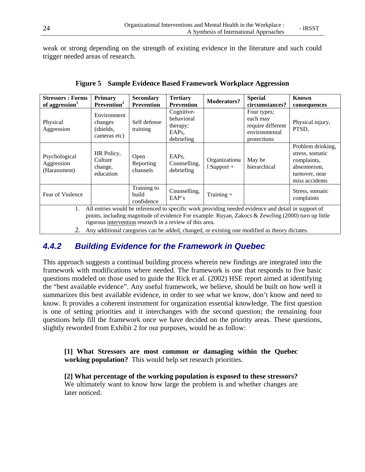weak or strong depending on the strength of existing evidence in the literature and such could trigger needed areas of research.

| <b>Stressors: Forms</b><br>of aggression <sup>1</sup>                                                                                                           | <b>Primary</b><br>Prevention <sup>2</sup>           | <b>Secondary</b><br><b>Prevention</b> | <b>Tertiary</b><br><b>Prevention</b>                                   | <b>Moderators?</b>             | <b>Special</b><br>circumstances?                                             | <b>Known</b><br>consequences                                                                            |
|-----------------------------------------------------------------------------------------------------------------------------------------------------------------|-----------------------------------------------------|---------------------------------------|------------------------------------------------------------------------|--------------------------------|------------------------------------------------------------------------------|---------------------------------------------------------------------------------------------------------|
| Physical<br>Aggression                                                                                                                                          | Environment<br>changes<br>(shields,<br>cameras etc) | Self defense<br>training              | Cognitive-<br>behavioral<br>therapy;<br>EAP <sub>s</sub><br>debriefing |                                | Four types;<br>each may<br>require different<br>environmental<br>protections | Physical injury,<br>PTSD,                                                                               |
| Psychological<br>Aggression<br>(Harassment)                                                                                                                     | HR Policy,<br>Culture<br>change,<br>education       | Open<br>Reporting<br>channels         | EAP <sub>s</sub><br>Counselling,<br>debriefing                         | Organizationa<br>$1$ Support + | May be<br>hierarchical                                                       | Problem drinking,<br>stress, somatic<br>complaints,<br>absenteeism.<br>turnover, near<br>miss accidents |
| Fear of Violence                                                                                                                                                |                                                     | Training to<br>build<br>confidence    | Counselling,<br>EAP's                                                  | Training $+$                   |                                                                              | Stress, somatic<br>complaints                                                                           |
| All entries would be referenced to specific work providing needed evidence and detail in support of<br>1.                                                       |                                                     |                                       |                                                                        |                                |                                                                              |                                                                                                         |
| points, including magnitude of evidence For example: Ruyan, Zakocs & Zewrling (2000) turn up little<br>rigorous intervention research in a review of this area. |                                                     |                                       |                                                                        |                                |                                                                              |                                                                                                         |
| 2.<br>Any additional categories can be added, changed, or existing one modified as theory dictates.                                                             |                                                     |                                       |                                                                        |                                |                                                                              |                                                                                                         |

**Figure 5 Sample Evidence Based Framework Workplace Aggression** 

# *4.4.2 Building Evidence for the Framework in Quebec*

This approach suggests a continual building process wherein new findings are integrated into the framework with modifications where needed. The framework is one that responds to five basic questions modeled on those used to guide the Rick et al. (2002) HSE report aimed at identifying the "best available evidence". Any useful framework, we believe, should be built on how well it summarizes this best available evidence, in order to see what we know, don't know and need to know. It provides a coherent instrument for organization essential knowledge. The first question is one of setting priorities and it interchanges with the second question; the remaining four questions help fill the framework once we have decided on the priority areas. These questions, slightly reworded from Exhibit 2 for our purposes, would be as follow:

**[1] What Stressors are most common or damaging within the Quebec working population?** This would help set research priorities.

**[2] What percentage of the working population is exposed to these stressors?**  We ultimately want to know how large the problem is and whether changes are later noticed.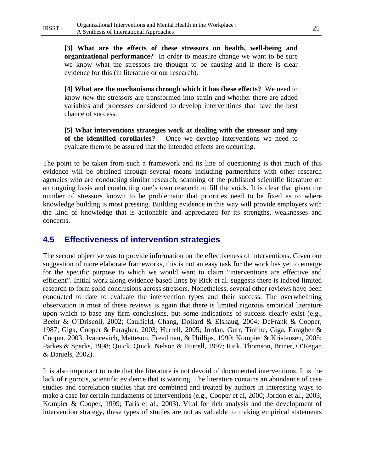**[4] What are the mechanisms through which it has these effects?** We need to know *how* the stressors are transformed into strain and whether there are added variables and processes considered to develop interventions that have the best chance of success.

**[5] What interventions strategies work at dealing with the stressor and any of the identified corollaries?** Once we develop interventions we need to evaluate them to be assured that the intended effects are occurring.

The point to be taken from such a framework and its line of questioning is that much of this evidence will be obtained through several means including partnerships with other research agencies who are conducting similar research, scanning of the published scientific literature on an ongoing basis and conducting one's own research to fill the voids. It is clear that given the number of stressors known to be problematic that priorities need to be fixed as to where knowledge building is most pressing. Building evidence in this way will provide employers with the kind of knowledge that is actionable and appreciated for its strengths, weaknesses and concerns.

# **4.5 Effectiveness of intervention strategies**

The second objective was to provide information on the effectiveness of interventions. Given our suggestion of more elaborate frameworks, this is not an easy task for the work has yet to emerge for the specific purpose to which we would want to claim "interventions are effective and efficient". Initial work along evidence-based lines by Rick et al. suggests there is indeed limited research to form solid conclusions across stressors. Nonetheless, several other reviews have been conducted to date to evaluate the intervention types and their success. The overwhelming observation in most of these reviews is again that there is limited rigorous empirical literature upon which to base any firm conclusions, but some indications of success clearly exist (e.g., Beehr & O'Driscoll, 2002; Caulfield, Chang, Dollard & Elshaug, 2004; DeFrank & Cooper, 1987; Giga, Cooper & Faragher, 2003; Hurrell, 2005; Jordan, Gurr, Tinline, Giga, Faragher & Cooper, 2003; Ivancevich, Matteson, Freedman, & Phillips, 1990; Kompier & Kristensen, 2005; Parkes & Sparks, 1998; Quick, Quick, Nelson & Hurrell, 1997; Rick, Thomson, Briner, O'Regan & Daniels, 2002).

It is also important to note that the literature is not devoid of documented interventions. It is the lack of rigorous, scientific evidence that is wanting. The literature contains an abundance of case studies and correlation studies that are combined and treated by authors in interesting ways to make a case for certain fundaments of interventions (e.g., Cooper et al, 2000; Jordon et al., 2003; Kompier & Cooper, 1999; Taris et al., 2003). Vital for rich analysis and the development of intervention strategy, these types of studies are not as valuable to making empirical statements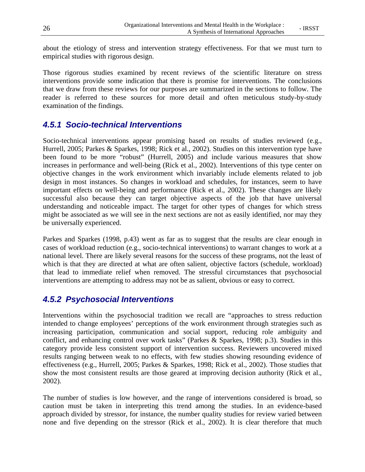about the etiology of stress and intervention strategy effectiveness. For that we must turn to empirical studies with rigorous design.

Those rigorous studies examined by recent reviews of the scientific literature on stress interventions provide some indication that there is promise for interventions. The conclusions that we draw from these reviews for our purposes are summarized in the sections to follow. The reader is referred to these sources for more detail and often meticulous study-by-study examination of the findings.

# *4.5.1 Socio-technical Interventions*

Socio-technical interventions appear promising based on results of studies reviewed (e.g., Hurrell, 2005; Parkes & Sparkes, 1998; Rick et al., 2002). Studies on this intervention type have been found to be more "robust" (Hurrell, 2005) and include various measures that show increases in performance and well-being (Rick et al., 2002). Interventions of this type center on objective changes in the work environment which invariably include elements related to job design in most instances. So changes in workload and schedules, for instances, seem to have important effects on well-being and performance (Rick et al., 2002). These changes are likely successful also because they can target objective aspects of the job that have universal understanding and noticeable impact. The target for other types of changes for which stress might be associated as we will see in the next sections are not as easily identified, nor may they be universally experienced.

Parkes and Sparkes (1998, p.43) went as far as to suggest that the results are clear enough in cases of workload reduction (e.g., socio-technical interventions) to warrant changes to work at a national level. There are likely several reasons for the success of these programs, not the least of which is that they are directed at what are often salient, objective factors (schedule, workload) that lead to immediate relief when removed. The stressful circumstances that psychosocial interventions are attempting to address may not be as salient, obvious or easy to correct.

# *4.5.2 Psychosocial Interventions*

Interventions within the psychosocial tradition we recall are "approaches to stress reduction intended to change employees' perceptions of the work environment through strategies such as increasing participation, communication and social support, reducing role ambiguity and conflict, and enhancing control over work tasks" (Parkes & Sparkes, 1998; p.3). Studies in this category provide less consistent support of intervention success. Reviewers uncovered mixed results ranging between weak to no effects, with few studies showing resounding evidence of effectiveness (e.g., Hurrell, 2005; Parkes & Sparkes, 1998; Rick et al., 2002). Those studies that show the most consistent results are those geared at improving decision authority (Rick et al., 2002).

The number of studies is low however, and the range of interventions considered is broad, so caution must be taken in interpreting this trend among the studies. In an evidence-based approach divided by stressor, for instance, the number quality studies for review varied between none and five depending on the stressor (Rick et al., 2002). It is clear therefore that much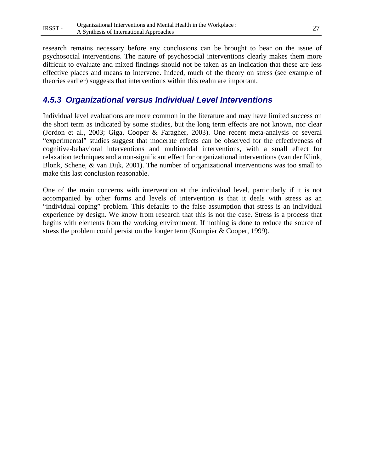research remains necessary before any conclusions can be brought to bear on the issue of psychosocial interventions. The nature of psychosocial interventions clearly makes them more difficult to evaluate and mixed findings should not be taken as an indication that these are less effective places and means to intervene. Indeed, much of the theory on stress (see example of theories earlier) suggests that interventions within this realm are important.

# *4.5.3 Organizational versus Individual Level Interventions*

Individual level evaluations are more common in the literature and may have limited success on the short term as indicated by some studies, but the long term effects are not known, nor clear (Jordon et al., 2003; Giga, Cooper & Faragher, 2003). One recent meta-analysis of several "experimental" studies suggest that moderate effects can be observed for the effectiveness of cognitive-behavioral interventions and multimodal interventions, with a small effect for relaxation techniques and a non-significant effect for organizational interventions (van der Klink, Blonk, Schene, & van Dijk, 2001). The number of organizational interventions was too small to make this last conclusion reasonable.

One of the main concerns with intervention at the individual level, particularly if it is not accompanied by other forms and levels of intervention is that it deals with stress as an "individual coping" problem. This defaults to the false assumption that stress is an individual experience by design. We know from research that this is not the case. Stress is a process that begins with elements from the working environment. If nothing is done to reduce the source of stress the problem could persist on the longer term (Kompier & Cooper, 1999).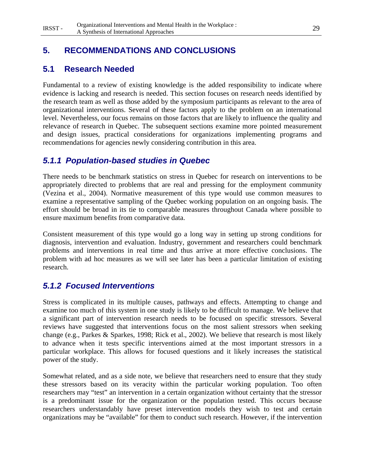# **5. RECOMMENDATIONS AND CONCLUSIONS**

# **5.1 Research Needed**

Fundamental to a review of existing knowledge is the added responsibility to indicate where evidence is lacking and research is needed. This section focuses on research needs identified by the research team as well as those added by the symposium participants as relevant to the area of organizational interventions. Several of these factors apply to the problem on an international level. Nevertheless, our focus remains on those factors that are likely to influence the quality and relevance of research in Quebec. The subsequent sections examine more pointed measurement and design issues, practical considerations for organizations implementing programs and recommendations for agencies newly considering contribution in this area.

# *5.1.1 Population-based studies in Quebec*

There needs to be benchmark statistics on stress in Quebec for research on interventions to be appropriately directed to problems that are real and pressing for the employment community (Vezina et al., 2004). Normative measurement of this type would use common measures to examine a representative sampling of the Quebec working population on an ongoing basis. The effort should be broad in its tie to comparable measures throughout Canada where possible to ensure maximum benefits from comparative data.

Consistent measurement of this type would go a long way in setting up strong conditions for diagnosis, intervention and evaluation. Industry, government and researchers could benchmark problems and interventions in real time and thus arrive at more effective conclusions. The problem with ad hoc measures as we will see later has been a particular limitation of existing research.

# *5.1.2 Focused Interventions*

Stress is complicated in its multiple causes, pathways and effects. Attempting to change and examine too much of this system in one study is likely to be difficult to manage. We believe that a significant part of intervention research needs to be focused on specific stressors. Several reviews have suggested that interventions focus on the most salient stressors when seeking change (e.g., Parkes & Sparkes, 1998; Rick et al., 2002). We believe that research is most likely to advance when it tests specific interventions aimed at the most important stressors in a particular workplace. This allows for focused questions and it likely increases the statistical power of the study.

Somewhat related, and as a side note, we believe that researchers need to ensure that they study these stressors based on its veracity within the particular working population. Too often researchers may "test" an intervention in a certain organization without certainty that the stressor is a predominant issue for the organization or the population tested. This occurs because researchers understandably have preset intervention models they wish to test and certain organizations may be "available" for them to conduct such research. However, if the intervention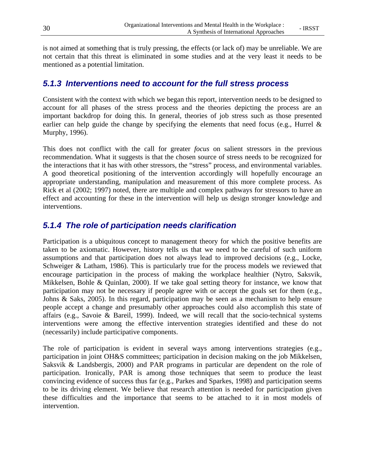is not aimed at something that is truly pressing, the effects (or lack of) may be unreliable. We are not certain that this threat is eliminated in some studies and at the very least it needs to be mentioned as a potential limitation.

#### *5.1.3 Interventions need to account for the full stress process*

Consistent with the context with which we began this report, intervention needs to be designed to account for all phases of the stress process and the theories depicting the process are an important backdrop for doing this. In general, theories of job stress such as those presented earlier can help guide the change by specifying the elements that need focus (e.g., Hurrel  $\&$ Murphy, 1996).

This does not conflict with the call for greater *focus* on salient stressors in the previous recommendation. What it suggests is that the chosen source of stress needs to be recognized for the interactions that it has with other stressors, the "stress" process, and environmental variables. A good theoretical positioning of the intervention accordingly will hopefully encourage an appropriate understanding, manipulation and measurement of this more complete process. As Rick et al (2002; 1997) noted, there are multiple and complex pathways for stressors to have an effect and accounting for these in the intervention will help us design stronger knowledge and interventions.

# *5.1.4 The role of participation needs clarification*

Participation is a ubiquitous concept to management theory for which the positive benefits are taken to be axiomatic. However, history tells us that we need to be careful of such uniform assumptions and that participation does not always lead to improved decisions (e.g., Locke, Schweiger & Latham, 1986). This is particularly true for the process models we reviewed that encourage participation in the process of making the workplace healthier (Nytro, Saksvik, Mikkelsen, Bohle & Quinlan, 2000). If we take goal setting theory for instance, we know that participation may not be necessary if people agree with or accept the goals set for them (e.g., Johns & Saks, 2005). In this regard, participation may be seen as a mechanism to help ensure people accept a change and presumably other approaches could also accomplish this state of affairs (e.g., Savoie & Bareil, 1999). Indeed, we will recall that the socio-technical systems interventions were among the effective intervention strategies identified and these do not (necessarily) include participative components.

The role of participation is evident in several ways among interventions strategies (e.g., participation in joint OH&S committees; participation in decision making on the job Mikkelsen, Saksvik & Landsbergis, 2000) and PAR programs in particular are dependent on the role of participation. Ironically, PAR is among those techniques that seem to produce the least convincing evidence of success thus far (e.g., Parkes and Sparkes, 1998) and participation seems to be its driving element. We believe that research attention is needed for participation given these difficulties and the importance that seems to be attached to it in most models of intervention.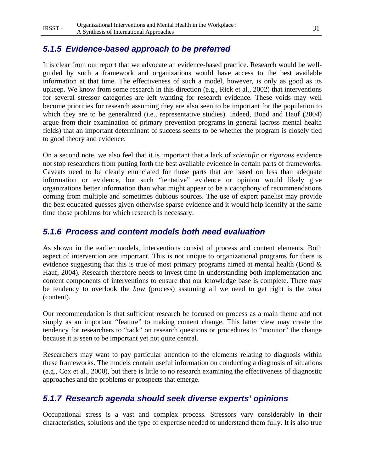# *5.1.5 Evidence-based approach to be preferred*

It is clear from our report that we advocate an evidence-based practice. Research would be wellguided by such a framework and organizations would have access to the best available information at that time. The effectiveness of such a model, however, is only as good as its upkeep. We know from some research in this direction (e.g., Rick et al., 2002) that interventions for several stressor categories are left wanting for research evidence. These voids may well become priorities for research assuming they are also seen to be important for the population to which they are to be generalized (i.e., representative studies). Indeed, Bond and Hauf (2004) argue from their examination of primary prevention programs in general (across mental health fields) that an important determinant of success seems to be whether the program is closely tied to good theory and evidence.

On a second note, we also feel that it is important that a lack of *scientific* or *rigorous* evidence not stop researchers from putting forth the best available evidence in certain parts of frameworks. Caveats need to be clearly enunciated for those parts that are based on less than adequate information or evidence, but such "tentative" evidence or opinion would likely give organizations better information than what might appear to be a cacophony of recommendations coming from multiple and sometimes dubious sources. The use of expert panelist may provide the best educated guesses given otherwise sparse evidence and it would help identify at the same time those problems for which research is necessary.

# *5.1.6 Process and content models both need evaluation*

As shown in the earlier models, interventions consist of process and content elements. Both aspect of intervention are important. This is not unique to organizational programs for there is evidence suggesting that this is true of most primary programs aimed at mental health (Bond & Hauf, 2004). Research therefore needs to invest time in understanding both implementation and content components of interventions to ensure that our knowledge base is complete. There may be tendency to overlook the *how* (process) assuming all we need to get right is the *what* (content).

Our recommendation is that sufficient research be focused on process as a main theme and not simply as an important "feature" to making content change. This latter view may create the tendency for researchers to "tack" on research questions or procedures to "monitor" the change because it is seen to be important yet not quite central.

Researchers may want to pay particular attention to the elements relating to diagnosis within these frameworks. The models contain useful information on conducting a diagnosis of situations (e.g., Cox et al., 2000), but there is little to no research examining the effectiveness of diagnostic approaches and the problems or prospects that emerge.

# *5.1.7 Research agenda should seek diverse experts' opinions*

Occupational stress is a vast and complex process. Stressors vary considerably in their characteristics, solutions and the type of expertise needed to understand them fully. It is also true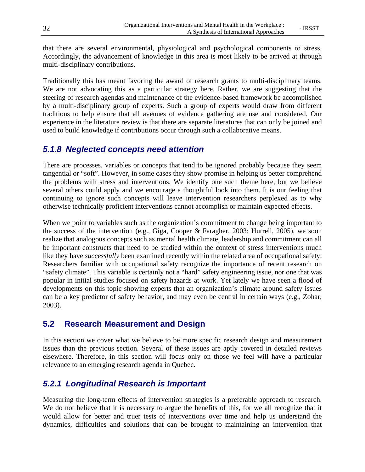that there are several environmental, physiological and psychological components to stress. Accordingly, the advancement of knowledge in this area is most likely to be arrived at through multi-disciplinary contributions.

Traditionally this has meant favoring the award of research grants to multi-disciplinary teams. We are not advocating this as a particular strategy here. Rather, we are suggesting that the steering of research agendas and maintenance of the evidence-based framework be accomplished by a multi-disciplinary group of experts. Such a group of experts would draw from different traditions to help ensure that all avenues of evidence gathering are use and considered. Our experience in the literature review is that there are separate literatures that can only be joined and used to build knowledge if contributions occur through such a collaborative means.

# *5.1.8 Neglected concepts need attention*

There are processes, variables or concepts that tend to be ignored probably because they seem tangential or "soft". However, in some cases they show promise in helping us better comprehend the problems with stress and interventions. We identify one such theme here, but we believe several others could apply and we encourage a thoughtful look into them. It is our feeling that continuing to ignore such concepts will leave intervention researchers perplexed as to why otherwise technically proficient interventions cannot accomplish or maintain expected effects.

When we point to variables such as the organization's commitment to change being important to the success of the intervention (e.g., Giga, Cooper & Faragher, 2003; Hurrell, 2005), we soon realize that analogous concepts such as mental health climate, leadership and commitment can all be important constructs that need to be studied within the context of stress interventions much like they have *successfully* been examined recently within the related area of occupational safety. Researchers familiar with occupational safety recognize the importance of recent research on "safety climate". This variable is certainly not a "hard" safety engineering issue, nor one that was popular in initial studies focused on safety hazards at work. Yet lately we have seen a flood of developments on this topic showing experts that an organization's climate around safety issues can be a key predictor of safety behavior, and may even be central in certain ways (e.g., Zohar, 2003).

# **5.2 Research Measurement and Design**

In this section we cover what we believe to be more specific research design and measurement issues than the previous section. Several of these issues are aptly covered in detailed reviews elsewhere. Therefore, in this section will focus only on those we feel will have a particular relevance to an emerging research agenda in Quebec.

# *5.2.1 Longitudinal Research is Important*

Measuring the long-term effects of intervention strategies is a preferable approach to research. We do not believe that it is necessary to argue the benefits of this, for we all recognize that it would allow for better and truer tests of interventions over time and help us understand the dynamics, difficulties and solutions that can be brought to maintaining an intervention that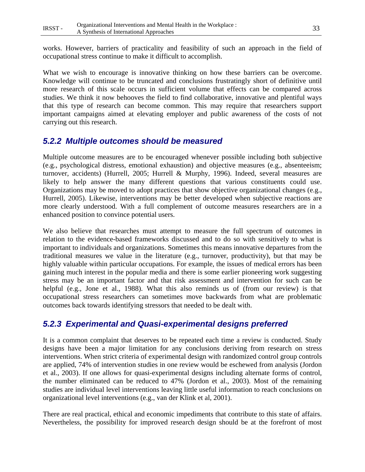works. However, barriers of practicality and feasibility of such an approach in the field of occupational stress continue to make it difficult to accomplish.

What we wish to encourage is innovative thinking on how these barriers can be overcome. Knowledge will continue to be truncated and conclusions frustratingly short of definitive until more research of this scale occurs in sufficient volume that effects can be compared across studies. We think it now behooves the field to find collaborative, innovative and plentiful ways that this type of research can become common. This may require that researchers support important campaigns aimed at elevating employer and public awareness of the costs of not carrying out this research.

# *5.2.2 Multiple outcomes should be measured*

Multiple outcome measures are to be encouraged whenever possible including both subjective (e.g., psychological distress, emotional exhaustion) and objective measures (e.g., absenteeism; turnover, accidents) (Hurrell, 2005; Hurrell & Murphy, 1996). Indeed, several measures are likely to help answer the many different questions that various constituents could use. Organizations may be moved to adopt practices that show objective organizational changes (e.g., Hurrell, 2005). Likewise, interventions may be better developed when subjective reactions are more clearly understood. With a full complement of outcome measures researchers are in a enhanced position to convince potential users.

We also believe that researches must attempt to measure the full spectrum of outcomes in relation to the evidence-based frameworks discussed and to do so with sensitively to what is important to individuals and organizations. Sometimes this means innovative departures from the traditional measures we value in the literature (e.g., turnover, productivity), but that may be highly valuable within particular occupations. For example, the issues of medical errors has been gaining much interest in the popular media and there is some earlier pioneering work suggesting stress may be an important factor and that risk assessment and intervention for such can be helpful (e.g., Jone et al., 1988). What this also reminds us of (from our review) is that occupational stress researchers can sometimes move backwards from what are problematic outcomes back towards identifying stressors that needed to be dealt with.

# *5.2.3 Experimental and Quasi-experimental designs preferred*

It is a common complaint that deserves to be repeated each time a review is conducted. Study designs have been a major limitation for any conclusions deriving from research on stress interventions. When strict criteria of experimental design with randomized control group controls are applied, 74% of intervention studies in one review would be eschewed from analysis (Jordon et al., 2003). If one allows for quasi-experimental designs including alternate forms of control, the number eliminated can be reduced to 47% (Jordon et al., 2003). Most of the remaining studies are individual level interventions leaving little useful information to reach conclusions on organizational level interventions (e.g., van der Klink et al, 2001).

There are real practical, ethical and economic impediments that contribute to this state of affairs. Nevertheless, the possibility for improved research design should be at the forefront of most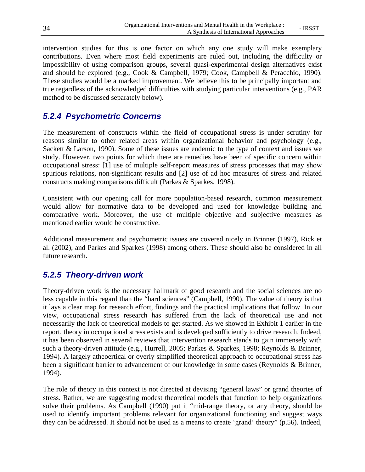intervention studies for this is one factor on which any one study will make exemplary contributions. Even where most field experiments are ruled out, including the difficulty or impossibility of using comparison groups, several quasi-experimental design alternatives exist and should be explored (e.g., Cook & Campbell, 1979; Cook, Campbell & Peracchio, 1990). These studies would be a marked improvement. We believe this to be principally important and true regardless of the acknowledged difficulties with studying particular interventions (e.g., PAR method to be discussed separately below).

# *5.2.4 Psychometric Concerns*

The measurement of constructs within the field of occupational stress is under scrutiny for reasons similar to other related areas within organizational behavior and psychology (e.g., Sackett & Larson, 1990). Some of these issues are endemic to the type of context and issues we study. However, two points for which there are remedies have been of specific concern within occupational stress: [1] use of multiple self-report measures of stress processes that may show spurious relations, non-significant results and [2] use of ad hoc measures of stress and related constructs making comparisons difficult (Parkes & Sparkes, 1998).

Consistent with our opening call for more population-based research, common measurement would allow for normative data to be developed and used for knowledge building and comparative work. Moreover, the use of multiple objective and subjective measures as mentioned earlier would be constructive.

Additional measurement and psychometric issues are covered nicely in Brinner (1997), Rick et al. (2002), and Parkes and Sparkes (1998) among others. These should also be considered in all future research.

# *5.2.5 Theory-driven work*

Theory-driven work is the necessary hallmark of good research and the social sciences are no less capable in this regard than the "hard sciences" (Campbell, 1990). The value of theory is that it lays a clear map for research effort, findings and the practical implications that follow. In our view, occupational stress research has suffered from the lack of theoretical use and not necessarily the lack of theoretical models to get started. As we showed in Exhibit 1 earlier in the report, theory in occupational stress exists and is developed sufficiently to drive research. Indeed, it has been observed in several reviews that intervention research stands to gain immensely with such a theory-driven attitude (e.g., Hurrell, 2005; Parkes & Sparkes, 1998; Reynolds & Brinner, 1994). A largely atheoertical or overly simplified theoretical approach to occupational stress has been a significant barrier to advancement of our knowledge in some cases (Reynolds & Brinner, 1994).

The role of theory in this context is not directed at devising "general laws" or grand theories of stress. Rather, we are suggesting modest theoretical models that function to help organizations solve their problems. As Campbell (1990) put it "mid-range theory, or any theory, should be used to identify important problems relevant for organizational functioning and suggest ways they can be addressed. It should not be used as a means to create 'grand' theory" (p.56). Indeed,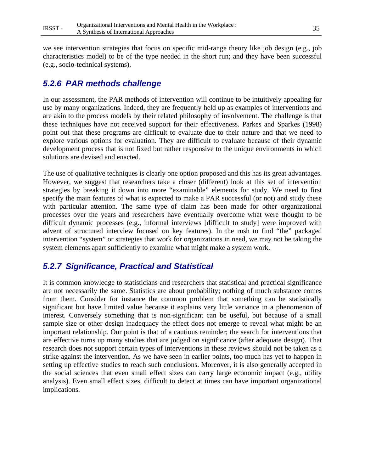we see intervention strategies that focus on specific mid-range theory like job design (e.g., job characteristics model) to be of the type needed in the short run; and they have been successful (e.g., socio-technical systems).

# *5.2.6 PAR methods challenge*

In our assessment, the PAR methods of intervention will continue to be intuitively appealing for use by many organizations. Indeed, they are frequently held up as examples of interventions and are akin to the process models by their related philosophy of involvement. The challenge is that these techniques have not received support for their effectiveness. Parkes and Sparkes (1998) point out that these programs are difficult to evaluate due to their nature and that we need to explore various options for evaluation. They are difficult to evaluate because of their dynamic development process that is not fixed but rather responsive to the unique environments in which solutions are devised and enacted.

The use of qualitative techniques is clearly one option proposed and this has its great advantages. However, we suggest that researchers take a closer (different) look at this set of intervention strategies by breaking it down into more "examinable" elements for study. We need to first specify the main features of what is expected to make a PAR successful (or not) and study these with particular attention. The same type of claim has been made for other organizational processes over the years and researchers have eventually overcome what were thought to be difficult dynamic processes (e.g., informal interviews [difficult to study] were improved with advent of structured interview focused on key features). In the rush to find "the" packaged intervention "system" or strategies that work for organizations in need, we may not be taking the system elements apart sufficiently to examine what might make a system work.

# *5.2.7 Significance, Practical and Statistical*

It is common knowledge to statisticians and researchers that statistical and practical significance are not necessarily the same. Statistics are about probability; nothing of much substance comes from them. Consider for instance the common problem that something can be statistically significant but have limited value because it explains very little variance in a phenomenon of interest. Conversely something that is non-significant can be useful, but because of a small sample size or other design inadequacy the effect does not emerge to reveal what might be an important relationship. Our point is that of a cautious reminder; the search for interventions that are effective turns up many studies that are judged on significance (after adequate design). That research does not support certain types of interventions in these reviews should not be taken as a strike against the intervention. As we have seen in earlier points, too much has yet to happen in setting up effective studies to reach such conclusions. Moreover, it is also generally accepted in the social sciences that even small effect sizes can carry large economic impact (e.g., utility analysis). Even small effect sizes, difficult to detect at times can have important organizational implications.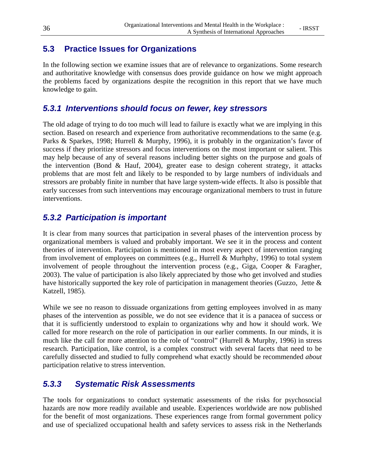# **5.3 Practice Issues for Organizations**

In the following section we examine issues that are of relevance to organizations. Some research and authoritative knowledge with consensus does provide guidance on how we might approach the problems faced by organizations despite the recognition in this report that we have much knowledge to gain.

# *5.3.1 Interventions should focus on fewer, key stressors*

The old adage of trying to do too much will lead to failure is exactly what we are implying in this section. Based on research and experience from authoritative recommendations to the same (e.g. Parks & Sparkes, 1998; Hurrell & Murphy, 1996), it is probably in the organization's favor of success if they prioritize stressors and focus interventions on the most important or salient. This may help because of any of several reasons including better sights on the purpose and goals of the intervention (Bond  $\&$  Hauf, 2004), greater ease to design coherent strategy, it attacks problems that are most felt and likely to be responded to by large numbers of individuals and stressors are probably finite in number that have large system-wide effects. It also is possible that early successes from such interventions may encourage organizational members to trust in future interventions.

# *5.3.2 Participation is important*

It is clear from many sources that participation in several phases of the intervention process by organizational members is valued and probably important. We see it in the process and content theories of intervention. Participation is mentioned in most every aspect of intervention ranging from involvement of employees on committees (e.g., Hurrell & Murhphy, 1996) to total system involvement of people throughout the intervention process (e.g., Giga, Cooper & Faragher, 2003). The value of participation is also likely appreciated by those who get involved and studies have historically supported the key role of participation in management theories (Guzzo, Jette & Katzell, 1985).

While we see no reason to dissuade organizations from getting employees involved in as many phases of the intervention as possible, we do not see evidence that it is a panacea of success or that it is sufficiently understood to explain to organizations why and how it should work. We called for more research on the role of participation in our earlier comments. In our minds, it is much like the call for more attention to the role of "control" (Hurrell & Murphy, 1996) in stress research. Participation, like control, is a complex construct with several facets that need to be carefully dissected and studied to fully comprehend what exactly should be recommended *about* participation relative to stress intervention.

# *5.3.3 Systematic Risk Assessments*

The tools for organizations to conduct systematic assessments of the risks for psychosocial hazards are now more readily available and useable. Experiences worldwide are now published for the benefit of most organizations. These experiences range from formal government policy and use of specialized occupational health and safety services to assess risk in the Netherlands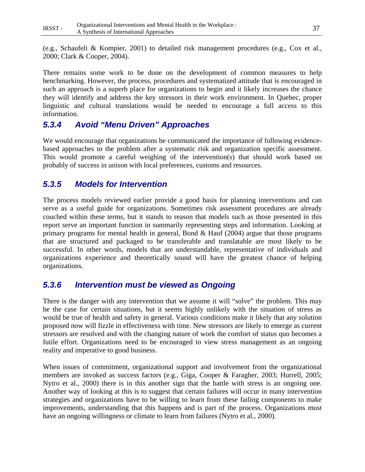(e.g., Schaufeli & Kompier, 2001) to detailed risk management procedures (e.g., Cox et al., 2000; Clark & Cooper, 2004).

There remains some work to be done on the development of common measures to help benchmarking. However, the process, procedures and systematized attitude that is encouraged in such an approach is a superb place for organizations to begin and it likely increases the chance they will identify and address the key stressors in their work environment. In Quebec, proper linguistic and cultural translations would be needed to encourage a full access to this information.

# *5.3.4 Avoid "Menu Driven" Approaches*

We would encourage that organizations be communicated the importance of following evidencebased approaches to the problem after a systematic risk and organization specific assessment. This would promote a careful weighing of the intervention(s) that should work based on probably of success in unison with local preferences, customs and resources.

# *5.3.5 Models for Intervention*

The process models reviewed earlier provide a good basis for planning interventions and can serve as a useful guide for organizations. Sometimes risk assessment procedures are already couched within these terms, but it stands to reason that models such as those presented in this report serve an important function in summarily representing steps and information. Looking at primary programs for mental health in general, Bond  $\&$  Hauf (2004) argue that those programs that are structured and packaged to be transferable and translatable are most likely to be successful. In other words, models that are understandable, representative of individuals and organizations experience and theoretically sound will have the greatest chance of helping organizations.

# *5.3.6 Intervention must be viewed as Ongoing*

There is the danger with any intervention that we assume it will "solve" the problem. This may be the case for certain situations, but it seems highly unlikely with the situation of stress as would be true of health and safety in general. Various conditions make it likely that any solution proposed now will fizzle in effectiveness with time. New stressors are likely to emerge as current stressors are resolved and with the changing nature of work the comfort of status quo becomes a futile effort. Organizations need to be encouraged to view stress management as an ongoing reality and imperative to good business.

When issues of commitment, organizational support and involvement from the organizational members are invoked as success factors (e.g., Giga, Cooper & Faragher, 2003; Hurrell, 2005; Nytro et al., 2000) there is in this another sign that the battle with stress is an ongoing one. Another way of looking at this is to suggest that certain failures will occur in many intervention strategies and organizations have to be willing to learn from these failing components to make improvements, understanding that this happens and is part of the process. Organizations must have an ongoing willingness or climate to learn from failures (Nytro et al., 2000).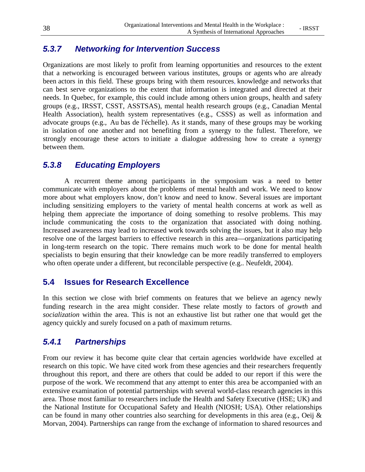# *5.3.7 Networking for Intervention Success*

Organizations are most likely to profit from learning opportunities and resources to the extent that a networking is encouraged between various institutes, groups or agents who are already been actors in this field. These groups bring with them resources, knowledge and networks that can best serve organizations to the extent that information is integrated and directed at their needs. In Quebec, for example, this could include among others union groups, health and safety groups (e.g., IRSST, CSST, ASSTSAS), mental health research groups (e.g., Canadian Mental Health Association), health system representatives (e.g., CSSS) as well as information and advocate groups (e.g., Au bas de l'échelle). As it stands, many of these groups may be working in isolation of one another and not benefiting from a synergy to the fullest. Therefore, we strongly encourage these actors to initiate a dialogue addressing how to create a synergy between them.

# *5.3.8 Educating Employers*

 A recurrent theme among participants in the symposium was a need to better communicate with employers about the problems of mental health and work. We need to know more about what employers know, don't know and need to know. Several issues are important including sensitizing employers to the variety of mental health concerns at work as well as helping them appreciate the importance of doing something to resolve problems. This may include communicating the costs to the organization that associated with doing nothing. Increased awareness may lead to increased work towards solving the issues, but it also may help resolve one of the largest barriers to effective research in this area—organizations participating in long-term research on the topic. There remains much work to be done for mental health specialists to begin ensuring that their knowledge can be more readily transferred to employers who often operate under a different, but reconcilable perspective (e.g.. Neufeldt, 2004).

# **5.4 Issues for Research Excellence**

In this section we close with brief comments on features that we believe an agency newly funding research in the area might consider. These relate mostly to factors of *growth* and *socialization* within the area. This is not an exhaustive list but rather one that would get the agency quickly and surely focused on a path of maximum returns.

# *5.4.1 Partnerships*

From our review it has become quite clear that certain agencies worldwide have excelled at research on this topic. We have cited work from these agencies and their researchers frequently throughout this report, and there are others that could be added to our report if this were the purpose of the work. We recommend that any attempt to enter this area be accompanied with an extensive examination of potential partnerships with several world-class research agencies in this area. Those most familiar to researchers include the Health and Safety Executive (HSE; UK) and the National Institute for Occupational Safety and Health (NIOSH; USA). Other relationships can be found in many other countries also searching for developments in this area (e.g., Oeij & Morvan, 2004). Partnerships can range from the exchange of information to shared resources and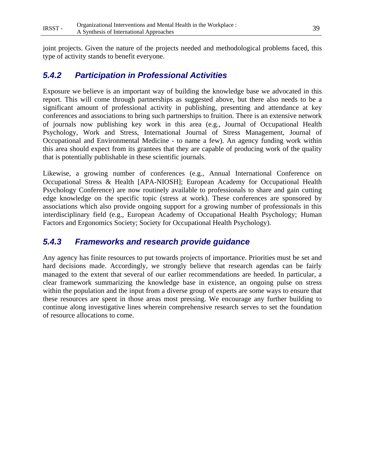joint projects. Given the nature of the projects needed and methodological problems faced, this type of activity stands to benefit everyone.

# *5.4.2 Participation in Professional Activities*

Exposure we believe is an important way of building the knowledge base we advocated in this report. This will come through partnerships as suggested above, but there also needs to be a significant amount of professional activity in publishing, presenting and attendance at key conferences and associations to bring such partnerships to fruition. There is an extensive network of journals now publishing key work in this area (e.g., Journal of Occupational Health Psychology, Work and Stress, International Journal of Stress Management, Journal of Occupational and Environmental Medicine - to name a few). An agency funding work within this area should expect from its grantees that they are capable of producing work of the quality that is potentially publishable in these scientific journals.

Likewise, a growing number of conferences (e.g., Annual International Conference on Occupational Stress & Health [APA-NIOSH]; European Academy for Occupational Health Psychology Conference) are now routinely available to professionals to share and gain cutting edge knowledge on the specific topic (stress at work). These conferences are sponsored by associations which also provide ongoing support for a growing number of professionals in this interdisciplinary field (e.g., European Academy of Occupational Health Psychology; Human Factors and Ergonomics Society; Society for Occupational Health Psychology).

# *5.4.3 Frameworks and research provide guidance*

Any agency has finite resources to put towards projects of importance. Priorities must be set and hard decisions made. Accordingly, we strongly believe that research agendas can be fairly managed to the extent that several of our earlier recommendations are heeded. In particular, a clear framework summarizing the knowledge base in existence, an ongoing pulse on stress within the population and the input from a diverse group of experts are some ways to ensure that these resources are spent in those areas most pressing. We encourage any further building to continue along investigative lines wherein comprehensive research serves to set the foundation of resource allocations to come.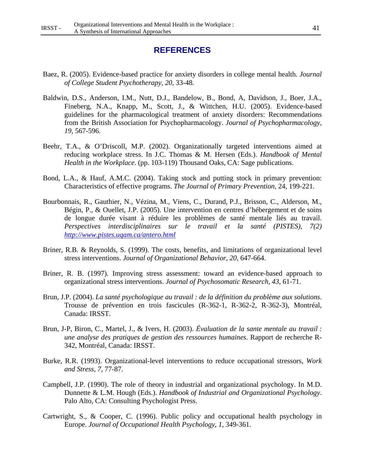# **REFERENCES**

- Baez, R. (2005). Evidence-based practice for anxiety disorders in college mental health. *Journal of College Student Psychotherapy, 20*, 33-48.
- Baldwin, D.S., Anderson, I.M., Nutt, D.J., Bandelow, B., Bond, A, Davidson, J., Boer, J.A., Fineberg, N.A., Knapp, M., Scott, J., & Wittchen, H.U. (2005). Evidence-based guidelines for the pharmacological treatment of anxiety disorders: Recommendations from the British Association for Psychopharmacology. *Journal of Psychopharmacology, 19*, 567-596.
- Beehr, T.A., & O'Driscoll, M.P. (2002). Organizationally targeted interventions aimed at reducing workplace stress. In J.C. Thomas & M. Hersen (Eds.). *Handbook of Mental Health in the Workplace*. (pp. 103-119) Thousand Oaks, CA: Sage publications.
- Bond, L.A., & Hauf, A.M.C. (2004). Taking stock and putting stock in primary prevention: Characteristics of effective programs. *The Journal of Primary Prevention,* 24, 199-221.
- Bourbonnais, R., Gauthier, N., Vézina, M., Viens, C., Durand, P.J., Brisson, C., Alderson, M., Bégin, P., & Ouellet, J.P. (2005). Une intervention en centres d'hébergement et de soins de longue durée visant à réduire les problèmes de santé mentale liés au travail. *Perspectives interdisciplinaires sur le travail et la santé (PISTES), 7(2) http://www.pistes.uqam.ca/antero.html*
- Briner, R.B. & Reynolds, S. (1999). The costs, benefits, and limitations of organizational level stress interventions. *Journal of Organizational Behavior, 20*, 647-664.
- Briner, R. B. (1997). Improving stress assessment: toward an evidence-based approach to organizational stress interventions. *Journal of Psychosomatic Research, 43,* 61-71.
- Brun, J.P. (2004). *La santé psychologique au travail : de la définition du problème aux solutions*. Trousse de prévention en trois fascicules (R-362-1, R-362-2, R-362-3), Montréal, Canada: IRSST.
- Brun, J-P, Biron, C., Martel, J., & Ivers, H. (2003). *Évaluation de la sante mentale au travail : une analyse des pratiques de gestion des ressources humaines*. Rapport de recherche R-342, Montréal, Canada: IRSST.
- Burke, R.R. (1993). Organizational-level interventions to reduce occupational stressors, *Work and Stress, 7,* 77-87.
- Campbell, J.P. (1990). The role of theory in industrial and organizational psychology. In M.D. Dunnette & L.M. Hough (Eds.). *Handbook of Industrial and Organizational Psychology*. Palo Alto, CA: Consulting Psychologist Press.
- Cartwright, S., & Cooper, C. (1996). Public policy and occupational health psychology in Europe. *Journal of Occupational Health Psychology, 1,* 349-361.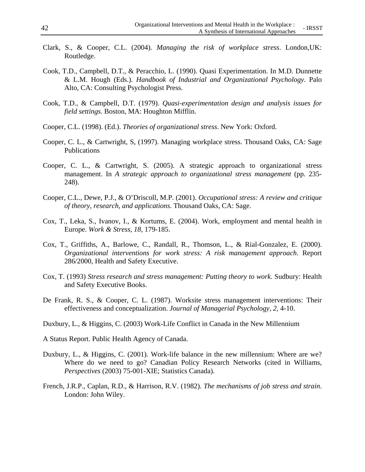- Clark, S., & Cooper, C.L. (2004). *Managing the risk of workplace stress*. London,UK: Routledge.
- Cook, T.D., Campbell, D.T., & Peracchio, L. (1990). Quasi Experimentation. In M.D. Dunnette & L.M. Hough (Eds.). *Handbook of Industrial and Organizational Psychology*. Palo Alto, CA: Consulting Psychologist Press.
- Cook, T.D., & Campbell, D.T. (1979). *Quasi-experimentation design and analysis issues for field settings*. Boston, MA: Houghton Mifflin.
- Cooper, C.L. (1998). (Ed.). *Theories of organizational stress*. New York: Oxford.
- Cooper, C. L., & Cartwright, S, (1997). Managing workplace stress. Thousand Oaks, CA: Sage Publications
- Cooper, C. L., & Cartwright, S. (2005). A strategic approach to organizational stress management. In *A strategic approach to organizational stress management* (pp. 235- 248).
- Cooper, C.L., Dewe, P.J., & O'Driscoll, M.P. (2001). *Occupational stress: A review and critique of theory, research, and applications*. Thousand Oaks, CA: Sage.
- Cox, T., Leka, S., Ivanov, I., & Kortums, E. (2004). Work, employment and mental health in Europe. *Work & Stress, 18,* 179-185.
- Cox, T., Griffiths, A., Barlowe, C., Randall, R., Thomson, L., & Rial-Gonzalez, E. (2000). *Organizational interventions for work stress: A risk management approach*. Report 286/2000*,* Health and Safety Executive.
- Cox, T. (1993) *Stress research and stress management: Putting theory to work*. Sudbury: Health and Safety Executive Books.
- De Frank, R. S., & Cooper, C. L. (1987). Worksite stress management interventions: Their effectiveness and conceptualization. *Journal of Managerial Psychology, 2,* 4-10.
- Duxbury, L., & Higgins, C. (2003) Work-Life Conflict in Canada in the New Millennium
- A Status Report. Public Health Agency of Canada.
- Duxbury, L., & Higgins, C. (2001). Work-life balance in the new millennium: Where are we? Where do we need to go? Canadian Policy Research Networks (cited in Williams, *Perspectives* (2003) 75-001-XIE; Statistics Canada).
- French, J.R.P., Caplan, R.D., & Harrison, R.V. (1982). *The mechanisms of job stress and strain*. London: John Wiley.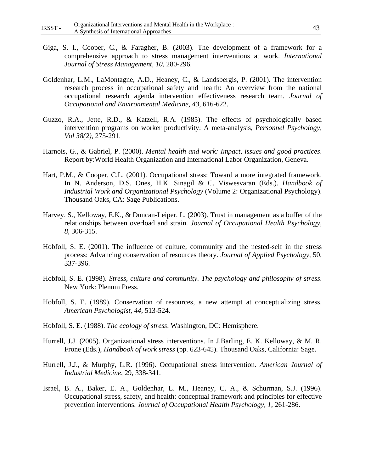- Giga, S. I., Cooper, C., & Faragher, B. (2003). The development of a framework for a comprehensive approach to stress management interventions at work. *International Journal of Stress Management, 10,* 280-296.
- Goldenhar, L.M., LaMontagne, A.D., Heaney, C., & Landsbergis, P. (2001). The intervention research process in occupational safety and health: An overview from the national occupational research agenda intervention effectiveness research team. *Journal of Occupational and Environmental Medicine, 43*, 616-622.
- Guzzo, R.A., Jette, R.D., & Katzell, R.A. (1985). The effects of psychologically based intervention programs on worker productivity: A meta-analysis, *Personnel Psychology, Vol 38(2)*, 275-291.
- Harnois, G., & Gabriel, P. (2000). *Mental health and work: Impact, issues and good practices*. Report by:World Health Organization and International Labor Organization, Geneva.
- Hart, P.M., & Cooper, C.L. (2001). Occupational stress: Toward a more integrated framework. In N. Anderson, D.S. Ones, H.K. Sinagil & C. Viswesvaran (Eds.). *Handbook of Industrial Work and Organizational Psychology* (Volume 2: Organizational Psychology). Thousand Oaks, CA: Sage Publications.
- Harvey, S., Kelloway, E.K., & Duncan-Leiper, L. (2003). Trust in management as a buffer of the relationships between overload and strain. *Journal of Occupational Health Psychology*, *8*, 306-315.
- Hobfoll, S. E. (2001). The influence of culture, community and the nested-self in the stress process: Advancing conservation of resources theory. *Journal of Applied Psychology,* 50, 337-396.
- Hobfoll, S. E. (1998). *Stress, culture and community. The psychology and philosophy of stress*. New York: Plenum Press.
- Hobfoll, S. E. (1989). Conservation of resources, a new attempt at conceptualizing stress. *American Psychologist, 44*, 513-524.
- Hobfoll, S. E. (1988). *The ecology of stress*. Washington, DC: Hemisphere.
- Hurrell, J.J. (2005). Organizational stress interventions. In J.Barling, E. K. Kelloway, & M. R. Frone (Eds.), *Handbook of work stress* (pp. 623-645). Thousand Oaks, California: Sage.
- Hurrell, J.J., & Murphy, L.R. (1996). Occupational stress intervention. *American Journal of Industrial Medicine*, 29, 338-341.
- Israel, B. A., Baker, E. A., Goldenhar, L. M., Heaney, C. A., & Schurman, S.J. (1996). Occupational stress, safety, and health: conceptual framework and principles for effective prevention interventions. *Journal of Occupational Health Psychology, 1,* 261-286.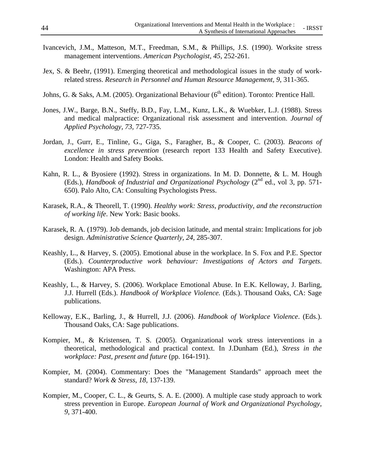- Ivancevich, J.M., Matteson, M.T., Freedman, S.M., & Phillips, J.S. (1990). Worksite stress management interventions. *American Psychologist, 45*, 252-261.
- Jex, S. & Beehr, (1991). Emerging theoretical and methodological issues in the study of workrelated stress. *Research in Personnel and Human Resource Management, 9*, 311-365.
- Johns, G. & Saks, A.M. (2005). Organizational Behaviour (6<sup>th</sup> edition). Toronto: Prentice Hall.
- Jones, J.W., Barge, B.N., Steffy, B.D., Fay, L.M., Kunz, L.K., & Wuebker, L.J. (1988). Stress and medical malpractice: Organizational risk assessment and intervention. *Journal of Applied Psychology, 73,* 727-735.
- Jordan, J., Gurr, E., Tinline, G., Giga, S., Faragher, B., & Cooper, C. (2003). *Beacons of excellence in stress prevention* (research report 133 Health and Safety Executive). London: Health and Safety Books.
- Kahn, R. L., & Byosiere (1992). Stress in organizations. In M. D. Donnette, & L. M. Hough (Eds.), *Handbook of Industrial and Organizational Psychology* (2nd ed., vol 3, pp. 571- 650). Palo Alto, CA: Consulting Psychologists Press.
- Karasek, R.A., & Theorell, T. (1990). *Healthy work: Stress, productivity, and the reconstruction of working life*. New York: Basic books.
- Karasek, R. A. (1979). Job demands, job decision latitude, and mental strain: Implications for job design. *Administrative Science Quarterly, 24*, 285-307.
- Keashly, L., & Harvey, S. (2005). Emotional abuse in the workplace. In S. Fox and P.E. Spector (Eds.). *Counterproductive work behaviour: Investigations of Actors and Targets*. Washington: APA Press.
- Keashly, L., & Harvey, S. (2006). Workplace Emotional Abuse. In E.K. Kelloway, J. Barling, J.J. Hurrell (Eds.). *Handbook of Workplace Violence.* (Eds.). Thousand Oaks, CA: Sage publications.
- Kelloway, E.K., Barling, J., & Hurrell, J.J. (2006). *Handbook of Workplace Violence*. (Eds.). Thousand Oaks, CA: Sage publications.
- Kompier, M., & Kristensen, T. S. (2005). Organizational work stress interventions in a theoretical, methodological and practical context. In J.Dunham (Ed.), *Stress in the workplace: Past, present and future* (pp. 164-191).
- Kompier, M. (2004). Commentary: Does the "Management Standards" approach meet the standard? *Work & Stress, 18,* 137-139.
- Kompier, M., Cooper, C. L., & Geurts, S. A. E. (2000). A multiple case study approach to work stress prevention in Europe. *European Journal of Work and Organizational Psychology, 9,* 371-400.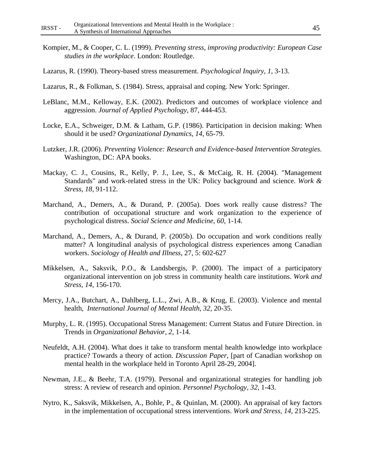- Kompier, M., & Cooper, C. L. (1999). *Preventing stress, improving productivity: European Case studies in the workplace*. London: Routledge.
- Lazarus, R. (1990). Theory-based stress measurement. *Psychological Inquiry, 1*, 3-13.
- Lazarus, R., & Folkman, S. (1984). Stress, appraisal and coping. New York: Springer.
- LeBlanc, M.M., Kelloway, E.K. (2002). Predictors and outcomes of workplace violence and aggression. *Journal of Applied Psychology*, 87, 444-453.
- Locke, E.A., Schweiger, D.M. & Latham, G.P. (1986). Participation in decision making: When should it be used? *Organizational Dynamics, 14*, 65-79.
- Lutzker, J.R. (2006). *Preventing Violence: Research and Evidence-based Intervention Strategies.* Washington, DC: APA books.
- Mackay, C. J., Cousins, R., Kelly, P. J., Lee, S., & McCaig, R. H. (2004). "Management Standards" and work-related stress in the UK: Policy background and science. *Work & Stress, 18,* 91-112.
- Marchand, A., Demers, A., & Durand, P. (2005a). Does work really cause distress? The contribution of occupational structure and work organization to the experience of psychological distress. *Social Science and Medicine*, *60*, 1-14.
- Marchand, A., Demers, A., & Durand, P. (2005b). Do occupation and work conditions really matter? A longitudinal analysis of psychological distress experiences among Canadian workers. *Sociology of Health and Illness*, 27, 5: 602-627
- Mikkelsen, A., Saksvik, P.O., & Landsbergis, P. (2000). The impact of a participatory organizational intervention on job stress in community health care institutions. *Work and Stress, 14,* 156-170.
- Mercy, J.A., Butchart, A., Dahlberg, L.L., Zwi, A.B., & Krug, E. (2003). Violence and mental health, *International Journal of Mental Health, 32*, 20-35.
- Murphy, L. R. (1995). Occupational Stress Management: Current Status and Future Direction. in Trends in *Organizational Behavior, 2*, 1-14.
- Neufeldt, A.H. (2004). What does it take to transform mental health knowledge into workplace practice? Towards a theory of action. *Discussion Paper*, [part of Canadian workshop on mental health in the workplace held in Toronto April 28-29, 2004].
- Newman, J.E., & Beehr, T.A. (1979). Personal and organizational strategies for handling job stress: A review of research and opinion. *Personnel Psychology, 32*, 1-43.
- Nytro, K., Saksvik, Mikkelsen, A., Bohle, P., & Quinlan, M. (2000). An appraisal of key factors in the implementation of occupational stress interventions. *Work and Stress, 14*, 213-225.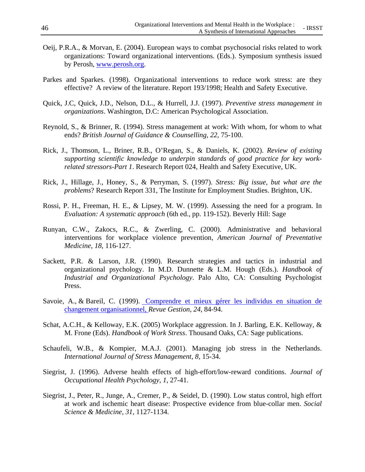- Oeij, P.R.A., & Morvan, E. (2004). European ways to combat psychosocial risks related to work organizations: Toward organizational interventions. (Eds.). Symposium synthesis issued by Perosh, www.perosh.org.
- Parkes and Sparkes. (1998). Organizational interventions to reduce work stress: are they effective? A review of the literature. Report 193/1998; Health and Safety Executive.
- Quick, J.C, Quick, J.D., Nelson, D.L., & Hurrell, J.J. (1997). *Preventive stress management in organizations*. Washington, D.C: American Psychological Association.
- Reynold, S., & Brinner, R. (1994). Stress management at work: With whom, for whom to what ends? *British Journal of Guidance & Counselling, 22*, 75-100.
- Rick, J., Thomson, L., Briner, R.B., O'Regan, S., & Daniels, K. (2002). *Review of existing supporting scientific knowledge to underpin standards of good practice for key workrelated stressors-Part 1*. Research Report 024, Health and Safety Executive, UK.
- Rick, J., Hillage, J., Honey, S., & Perryman, S. (1997). *Stress: Big issue, but what are the problems*? Research Report 331, The Institute for Employment Studies. Brighton, UK.
- Rossi, P. H., Freeman, H. E., & Lipsey, M. W. (1999). Assessing the need for a program. In *Evaluation: A systematic approach* (6th ed., pp. 119-152). Beverly Hill: Sage
- Runyan, C.W., Zakocs, R.C., & Zwerling, C. (2000). Administrative and behavioral interventions for workplace violence prevention, *American Journal of Preventative Medicine*, *18*, 116-127.
- Sackett, P.R. & Larson, J.R. (1990). Research strategies and tactics in industrial and organizational psychology. In M.D. Dunnette & L.M. Hough (Eds.). *Handbook of Industrial and Organizational Psychology*. Palo Alto, CA: Consulting Psychologist Press.
- Savoie, A., & Bareil, C. (1999). Comprendre et mieux gérer les individus en situation de changement organisationnel, *Revue Gestion*, *24*, 84-94.
- Schat, A.C.H., & Kelloway, E.K. (2005) Workplace aggression. In J. Barling, E.K. Kelloway, & M. Frone (Eds). *Handbook of Work Stress*. Thousand Oaks, CA: Sage publications.
- Schaufeli, W.B., & Kompier, M.A.J. (2001). Managing job stress in the Netherlands. *International Journal of Stress Management, 8*, 15-34.
- Siegrist, J. (1996). Adverse health effects of high-effort/low-reward conditions. *Journal of Occupational Health Psychology, 1*, 27-41.
- Siegrist, J., Peter, R., Junge, A., Cremer, P., & Seidel, D. (1990). Low status control, high effort at work and ischemic heart disease: Prospective evidence from blue-collar men. *Social Science & Medicine, 31*, 1127-1134.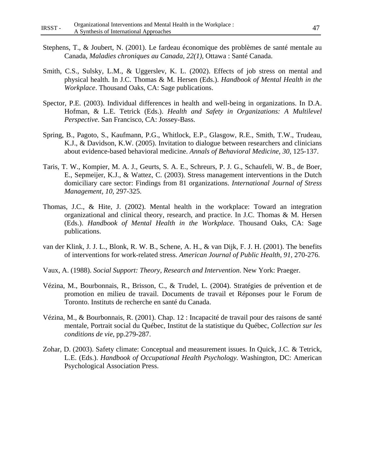- Stephens, T., & Joubert, N. (2001). Le fardeau économique des problèmes de santé mentale au Canada, *Maladies chroniques au Canada*, *22(1),* Ottawa : Santé Canada.
- Smith, C.S., Sulsky, L.M., & Uggerslev, K. L. (2002). Effects of job stress on mental and physical health. In J.C. Thomas & M. Hersen (Eds.). *Handbook of Mental Health in the Workplace*. Thousand Oaks, CA: Sage publications.
- Spector, P.E. (2003). Individual differences in health and well-being in organizations. In D.A. Hofman, & L.E. Tetrick (Eds.). *Health and Safety in Organizations: A Multilevel Perspective*. San Francisco, CA: Jossey-Bass.
- Spring, B., Pagoto, S., Kaufmann, P.G., Whitlock, E.P., Glasgow, R.E., Smith, T.W., Trudeau, K.J., & Davidson, K.W. (2005). Invitation to dialogue between researchers and clinicians about evidence-based behavioral medicine. *Annals of Behavioral Medicine, 30,* 125-137.
- Taris, T. W., Kompier, M. A. J., Geurts, S. A. E., Schreurs, P. J. G., Schaufeli, W. B., de Boer, E., Sepmeijer, K.J., & Wattez, C. (2003). Stress management interventions in the Dutch domiciliary care sector: Findings from 81 organizations. *International Journal of Stress Management, 10,* 297-325.
- Thomas, J.C., & Hite, J. (2002). Mental health in the workplace: Toward an integration organizational and clinical theory, research, and practice. In J.C. Thomas & M. Hersen (Eds.). *Handbook of Mental Health in the Workplace*. Thousand Oaks, CA: Sage publications.
- van der Klink, J. J. L., Blonk, R. W. B., Schene, A. H., & van Dijk, F. J. H. (2001). The benefits of interventions for work-related stress. *American Journal of Public Health, 91,* 270-276.
- Vaux, A. (1988). *Social Support: Theory, Research and Intervention*. New York: Praeger.
- Vézina, M., Bourbonnais, R., Brisson, C., & Trudel, L. (2004). Stratégies de prévention et de promotion en milieu de travail. Documents de travail et Réponses pour le Forum de Toronto. Instituts de recherche en santé du Canada.
- Vézina, M., & Bourbonnais, R. (2001). Chap. 12 : Incapacité de travail pour des raisons de santé mentale, Portrait social du Québec, Institut de la statistique du Québec, *Collection sur les conditions de vie*, pp.279-287.
- Zohar, D. (2003). Safety climate: Conceptual and measurement issues. In Quick, J.C. & Tetrick, L.E. (Eds.). *Handbook of Occupational Health Psychology.* Washington, DC: American Psychological Association Press.